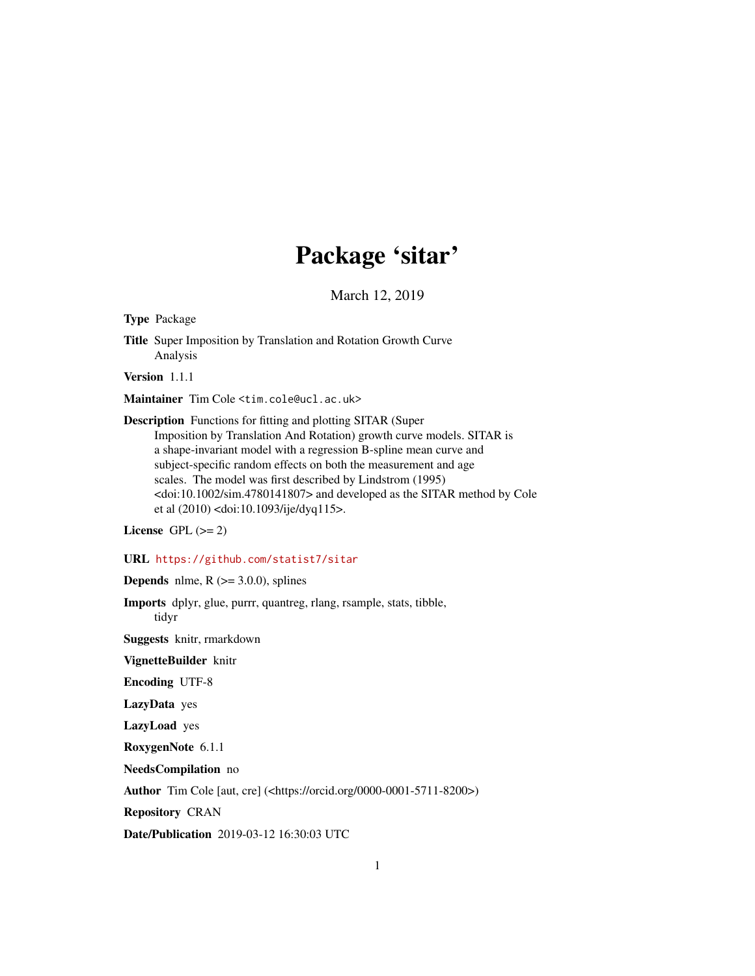# Package 'sitar'

March 12, 2019

<span id="page-0-0"></span>Type Package

Title Super Imposition by Translation and Rotation Growth Curve Analysis

Version 1.1.1

Maintainer Tim Cole <tim.cole@ucl.ac.uk>

Description Functions for fitting and plotting SITAR (Super Imposition by Translation And Rotation) growth curve models. SITAR is a shape-invariant model with a regression B-spline mean curve and subject-specific random effects on both the measurement and age scales. The model was first described by Lindstrom (1995) <doi:10.1002/sim.4780141807> and developed as the SITAR method by Cole et al (2010) <doi:10.1093/ije/dyq115>.

License GPL  $(>= 2)$ 

#### URL <https://github.com/statist7/sitar>

**Depends** nlme,  $R$  ( $>=$  3.0.0), splines

Imports dplyr, glue, purrr, quantreg, rlang, rsample, stats, tibble, tidyr

Suggests knitr, rmarkdown

VignetteBuilder knitr

Encoding UTF-8

LazyData yes

LazyLoad yes

RoxygenNote 6.1.1

NeedsCompilation no

Author Tim Cole [aut, cre] (<https://orcid.org/0000-0001-5711-8200>)

Repository CRAN

Date/Publication 2019-03-12 16:30:03 UTC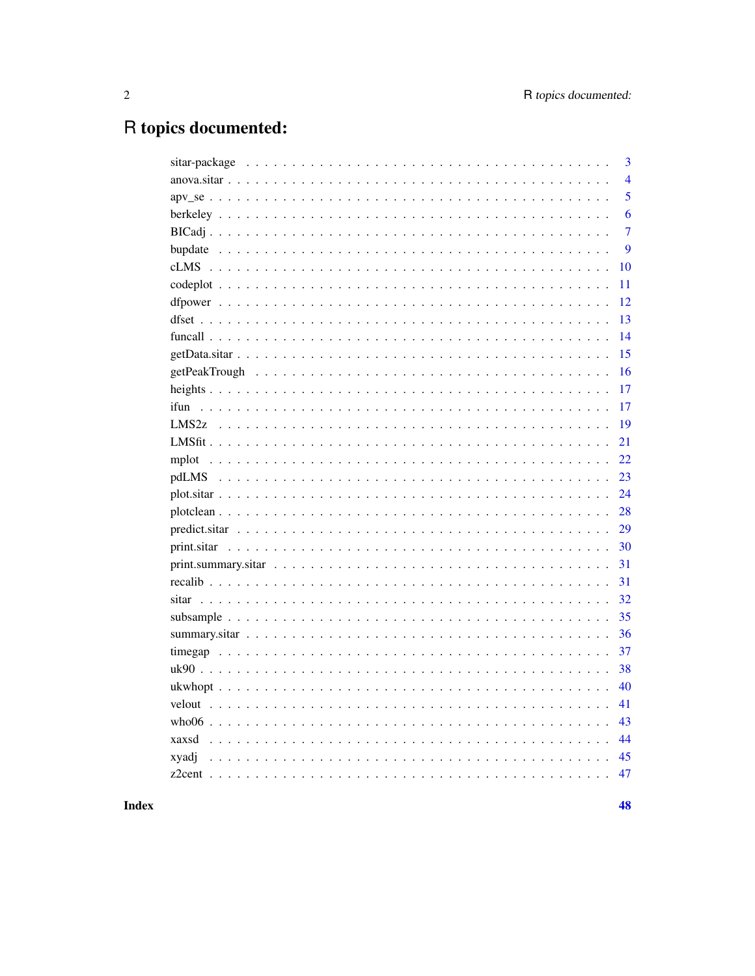# R topics documented:

|       | 3              |
|-------|----------------|
|       | $\overline{4}$ |
|       | 5              |
|       | 6              |
|       | $\overline{7}$ |
|       | 9              |
|       | 10             |
|       | 11             |
|       | 12             |
|       | 13             |
|       | 14             |
|       | 15             |
|       | 16             |
|       | 17             |
|       | 17             |
|       | 19             |
|       | 21             |
|       | 22             |
|       | 23             |
|       | 24             |
|       | 28             |
|       | 29             |
|       | 30             |
|       | 31             |
|       | 31             |
|       | 32             |
|       | 35             |
|       | 36             |
|       | 37             |
|       | 38             |
|       | 40             |
|       | 41             |
|       | 43             |
|       | 44             |
| xyadj | 45             |
|       | 47             |
|       |                |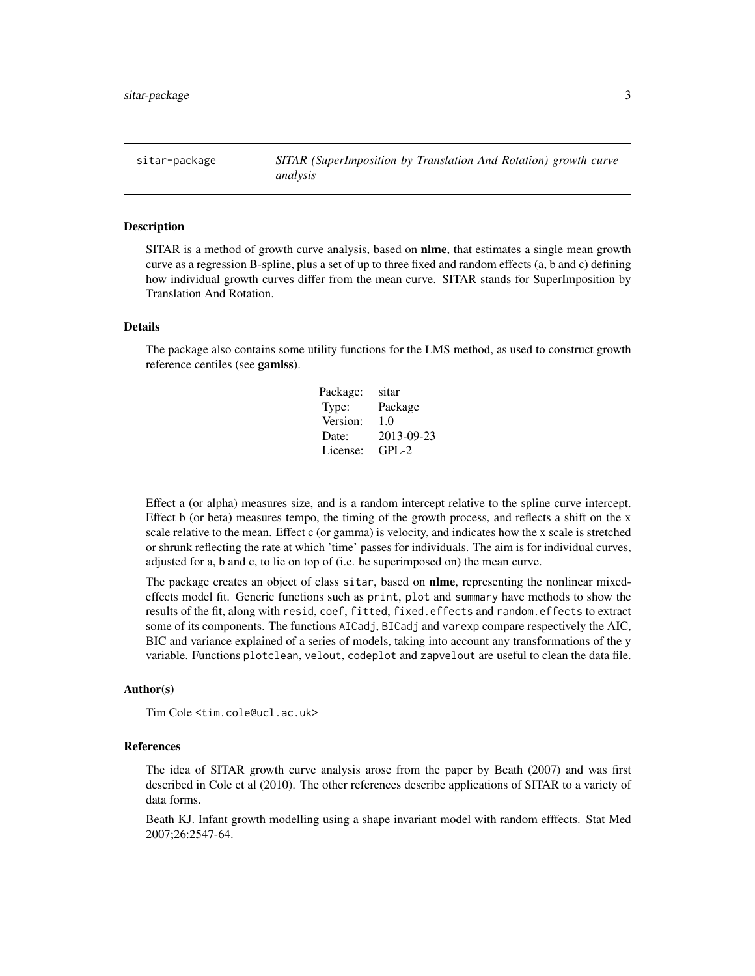<span id="page-2-0"></span>sitar-package *SITAR (SuperImposition by Translation And Rotation) growth curve analysis*

#### Description

SITAR is a method of growth curve analysis, based on **nlme**, that estimates a single mean growth curve as a regression B-spline, plus a set of up to three fixed and random effects (a, b and c) defining how individual growth curves differ from the mean curve. SITAR stands for SuperImposition by Translation And Rotation.

# Details

The package also contains some utility functions for the LMS method, as used to construct growth reference centiles (see gamlss).

| Package: | sitar      |
|----------|------------|
| Type:    | Package    |
| Version: | 1.0        |
| Date:    | 2013-09-23 |
| License: | $GPI - 2$  |

Effect a (or alpha) measures size, and is a random intercept relative to the spline curve intercept. Effect b (or beta) measures tempo, the timing of the growth process, and reflects a shift on the x scale relative to the mean. Effect c (or gamma) is velocity, and indicates how the x scale is stretched or shrunk reflecting the rate at which 'time' passes for individuals. The aim is for individual curves, adjusted for a, b and c, to lie on top of (i.e. be superimposed on) the mean curve.

The package creates an object of class sitar, based on **nlme**, representing the nonlinear mixedeffects model fit. Generic functions such as print, plot and summary have methods to show the results of the fit, along with resid, coef, fitted, fixed.effects and random.effects to extract some of its components. The functions AICadj, BICadj and varexp compare respectively the AIC, BIC and variance explained of a series of models, taking into account any transformations of the y variable. Functions plotclean, velout, codeplot and zapvelout are useful to clean the data file.

#### Author(s)

Tim Cole <tim.cole@ucl.ac.uk>

#### References

The idea of SITAR growth curve analysis arose from the paper by Beath (2007) and was first described in Cole et al (2010). The other references describe applications of SITAR to a variety of data forms.

Beath KJ. Infant growth modelling using a shape invariant model with random efffects. Stat Med 2007;26:2547-64.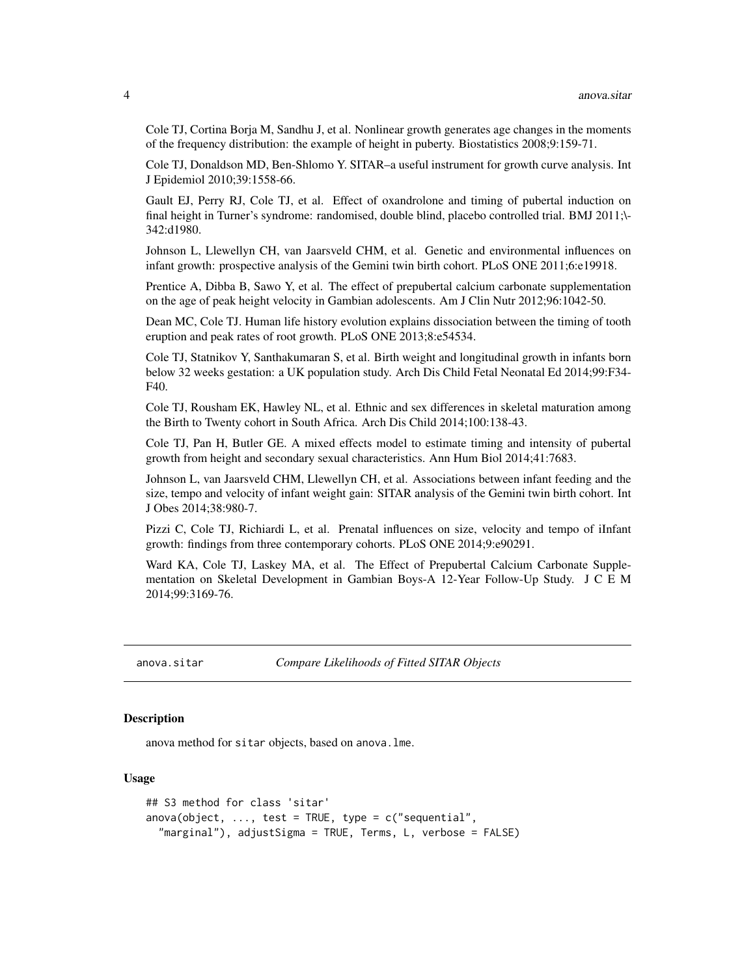<span id="page-3-0"></span>Cole TJ, Cortina Borja M, Sandhu J, et al. Nonlinear growth generates age changes in the moments of the frequency distribution: the example of height in puberty. Biostatistics 2008;9:159-71.

Cole TJ, Donaldson MD, Ben-Shlomo Y. SITAR–a useful instrument for growth curve analysis. Int J Epidemiol 2010;39:1558-66.

Gault EJ, Perry RJ, Cole TJ, et al. Effect of oxandrolone and timing of pubertal induction on final height in Turner's syndrome: randomised, double blind, placebo controlled trial. BMJ 2011;\- 342:d1980.

Johnson L, Llewellyn CH, van Jaarsveld CHM, et al. Genetic and environmental influences on infant growth: prospective analysis of the Gemini twin birth cohort. PLoS ONE 2011;6:e19918.

Prentice A, Dibba B, Sawo Y, et al. The effect of prepubertal calcium carbonate supplementation on the age of peak height velocity in Gambian adolescents. Am J Clin Nutr 2012;96:1042-50.

Dean MC, Cole TJ. Human life history evolution explains dissociation between the timing of tooth eruption and peak rates of root growth. PLoS ONE 2013;8:e54534.

Cole TJ, Statnikov Y, Santhakumaran S, et al. Birth weight and longitudinal growth in infants born below 32 weeks gestation: a UK population study. Arch Dis Child Fetal Neonatal Ed 2014;99:F34- F40.

Cole TJ, Rousham EK, Hawley NL, et al. Ethnic and sex differences in skeletal maturation among the Birth to Twenty cohort in South Africa. Arch Dis Child 2014;100:138-43.

Cole TJ, Pan H, Butler GE. A mixed effects model to estimate timing and intensity of pubertal growth from height and secondary sexual characteristics. Ann Hum Biol 2014;41:7683.

Johnson L, van Jaarsveld CHM, Llewellyn CH, et al. Associations between infant feeding and the size, tempo and velocity of infant weight gain: SITAR analysis of the Gemini twin birth cohort. Int J Obes 2014;38:980-7.

Pizzi C, Cole TJ, Richiardi L, et al. Prenatal influences on size, velocity and tempo of iInfant growth: findings from three contemporary cohorts. PLoS ONE 2014;9:e90291.

Ward KA, Cole TJ, Laskey MA, et al. The Effect of Prepubertal Calcium Carbonate Supplementation on Skeletal Development in Gambian Boys-A 12-Year Follow-Up Study. J C E M 2014;99:3169-76.

anova.sitar *Compare Likelihoods of Fitted SITAR Objects*

# **Description**

anova method for sitar objects, based on anova.lme.

#### Usage

```
## S3 method for class 'sitar'
anova(object, ..., test = TRUE, type = c("sequential","marginal"), adjustSigma = TRUE, Terms, L, verbose = FALSE)
```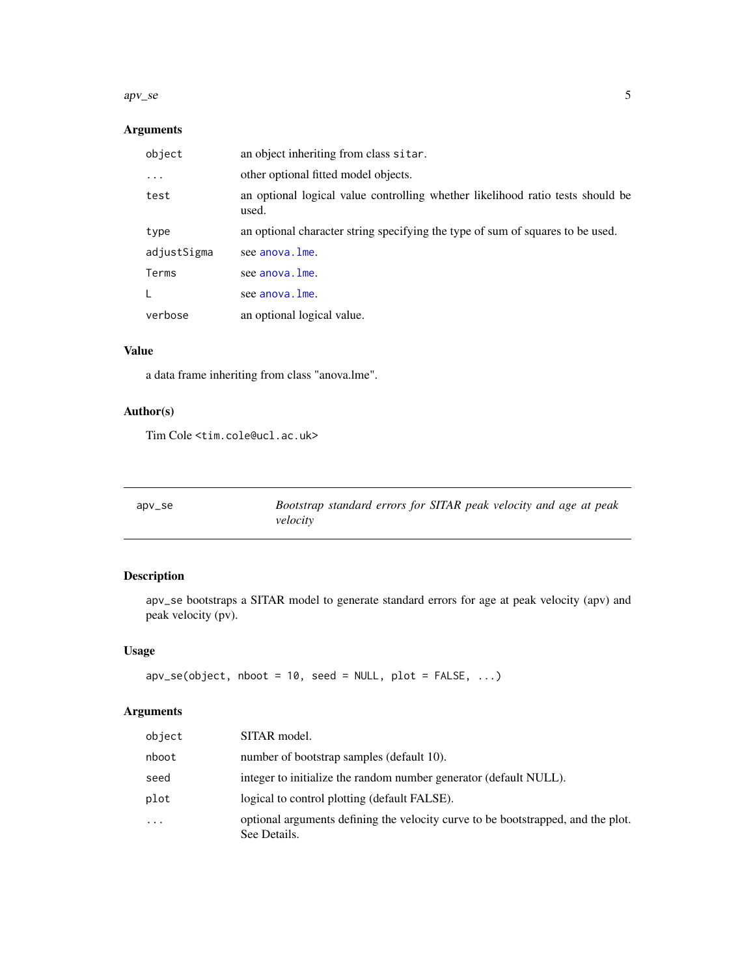#### <span id="page-4-0"></span> $apv<sub>1</sub>se$  5

# Arguments

| object      | an object inheriting from class sitar.                                                  |
|-------------|-----------------------------------------------------------------------------------------|
| $\ddots$    | other optional fitted model objects.                                                    |
| test        | an optional logical value controlling whether likelihood ratio tests should be<br>used. |
| type        | an optional character string specifying the type of sum of squares to be used.          |
| adjustSigma | see anova. Ime.                                                                         |
| Terms       | see anova. Ime.                                                                         |
| L           | see anova. Ime.                                                                         |
| verbose     | an optional logical value.                                                              |

# Value

a data frame inheriting from class "anova.lme".

# Author(s)

Tim Cole <tim.cole@ucl.ac.uk>

<span id="page-4-1"></span>

| $apv$ _se | Bootstrap standard errors for SITAR peak velocity and age at peak |
|-----------|-------------------------------------------------------------------|
|           | velocity                                                          |

# Description

apv\_se bootstraps a SITAR model to generate standard errors for age at peak velocity (apv) and peak velocity (pv).

# Usage

```
apv\_se(object, nboot = 10, seed = NULL, plot = FALSE, ...)
```
# Arguments

| object | SITAR model.                                                                                     |
|--------|--------------------------------------------------------------------------------------------------|
| nboot  | number of bootstrap samples (default 10).                                                        |
| seed   | integer to initialize the random number generator (default NULL).                                |
| plot   | logical to control plotting (default FALSE).                                                     |
| .      | optional arguments defining the velocity curve to be bootstrapped, and the plot.<br>See Details. |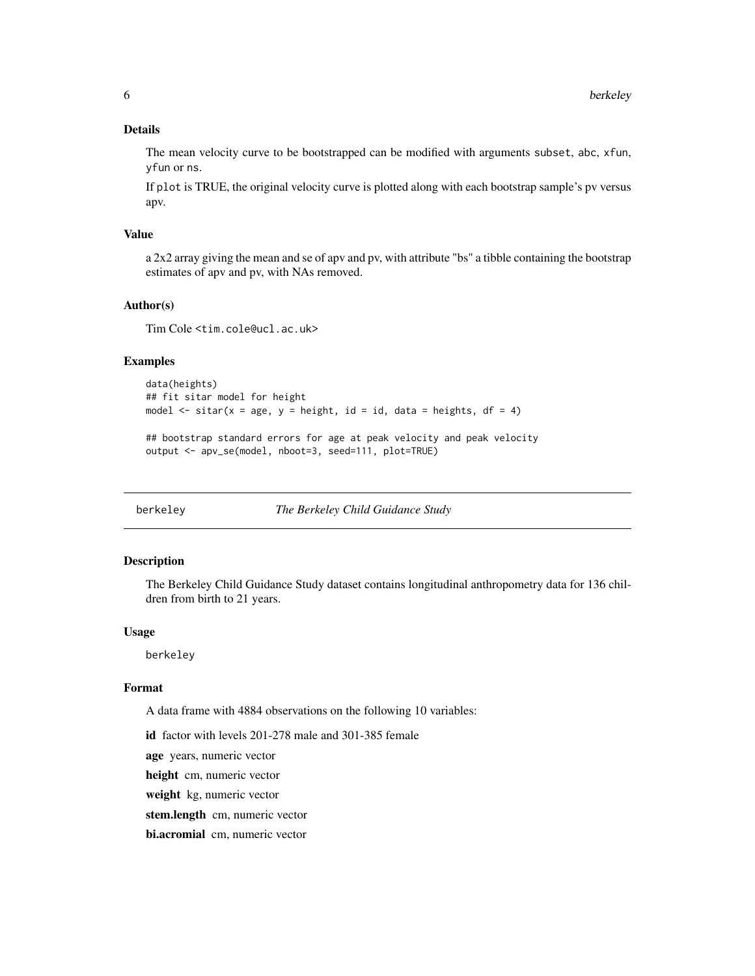# <span id="page-5-0"></span>Details

The mean velocity curve to be bootstrapped can be modified with arguments subset, abc, xfun, yfun or ns.

If plot is TRUE, the original velocity curve is plotted along with each bootstrap sample's pv versus apv.

#### Value

a 2x2 array giving the mean and se of apv and pv, with attribute "bs" a tibble containing the bootstrap estimates of apv and pv, with NAs removed.

#### Author(s)

Tim Cole <tim.cole@ucl.ac.uk>

## Examples

```
data(heights)
## fit sitar model for height
model \le sitar(x = age, y = height, id = id, data = heights, df = 4)
## bootstrap standard errors for age at peak velocity and peak velocity
output <- apv_se(model, nboot=3, seed=111, plot=TRUE)
```
berkeley *The Berkeley Child Guidance Study*

## Description

The Berkeley Child Guidance Study dataset contains longitudinal anthropometry data for 136 children from birth to 21 years.

## Usage

berkeley

# Format

A data frame with 4884 observations on the following 10 variables:

id factor with levels 201-278 male and 301-385 female

age years, numeric vector

height cm, numeric vector

weight kg, numeric vector

stem.length cm, numeric vector

bi.acromial cm, numeric vector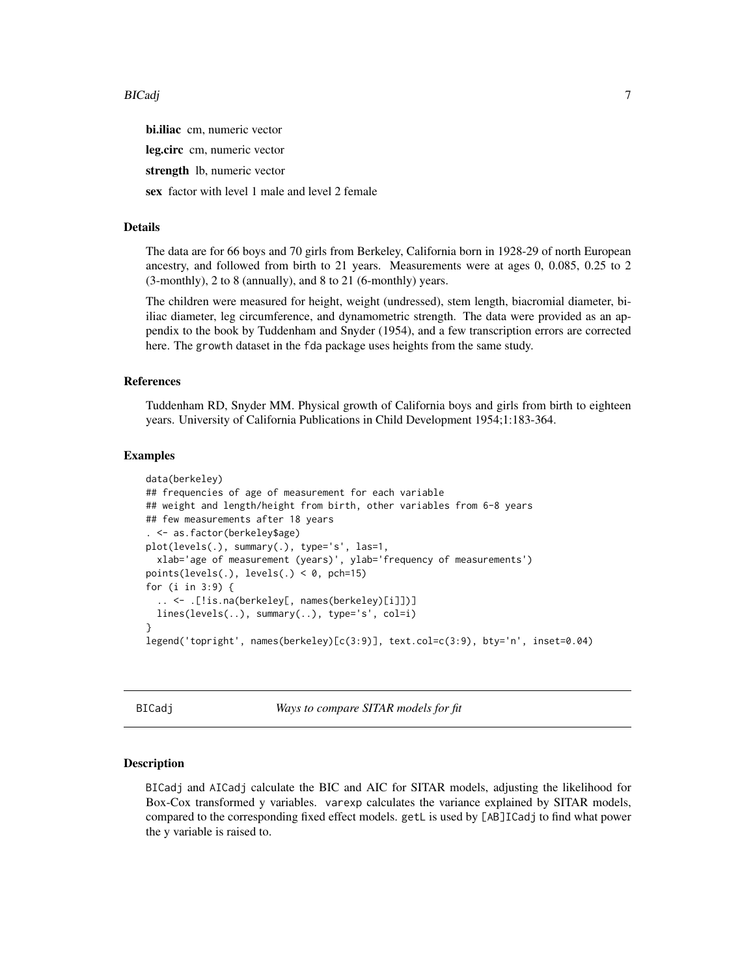<span id="page-6-0"></span>bi.iliac cm, numeric vector

leg.circ cm, numeric vector

strength lb, numeric vector

sex factor with level 1 male and level 2 female

#### Details

The data are for 66 boys and 70 girls from Berkeley, California born in 1928-29 of north European ancestry, and followed from birth to 21 years. Measurements were at ages 0, 0.085, 0.25 to 2 (3-monthly), 2 to 8 (annually), and 8 to 21 (6-monthly) years.

The children were measured for height, weight (undressed), stem length, biacromial diameter, biiliac diameter, leg circumference, and dynamometric strength. The data were provided as an appendix to the book by Tuddenham and Snyder (1954), and a few transcription errors are corrected here. The growth dataset in the fda package uses heights from the same study.

#### References

Tuddenham RD, Snyder MM. Physical growth of California boys and girls from birth to eighteen years. University of California Publications in Child Development 1954;1:183-364.

## Examples

```
data(berkeley)
## frequencies of age of measurement for each variable
## weight and length/height from birth, other variables from 6-8 years
## few measurements after 18 years
. <- as.factor(berkeley$age)
plot(levels(.), summary(.), type='s', las=1,
  xlab='age of measurement (years)', ylab='frequency of measurements')
points(levels(.), levels(.) < 0, pch=15)
for (i in 3:9) {
  .. <- .[!is.na(berkeley[, names(berkeley)[i]])]
  lines(levels(..), summary(..), type='s', col=i)
}
legend('topright', names(berkeley)[c(3:9)], text.col=c(3:9), bty='n', inset=0.04)
```
BICadj *Ways to compare SITAR models for fit*

# Description

BICadj and AICadj calculate the BIC and AIC for SITAR models, adjusting the likelihood for Box-Cox transformed y variables. varexp calculates the variance explained by SITAR models, compared to the corresponding fixed effect models. getL is used by [AB]ICadj to find what power the y variable is raised to.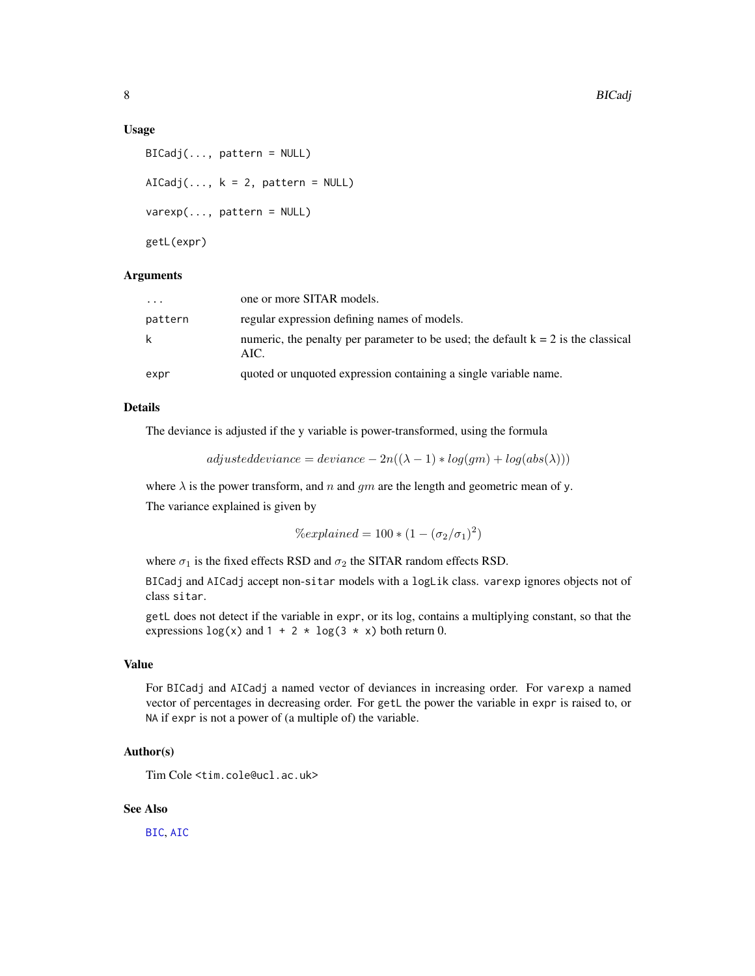#### <span id="page-7-0"></span>Usage

```
BICadj(..., pattern = NULL)
AICadj(..., k = 2, pattern = NULL)varexp(..., pattern = NULL)
getL(expr)
```
#### Arguments

| expr     | quoted or unquoted expression containing a single variable name.                            |
|----------|---------------------------------------------------------------------------------------------|
| k        | numeric, the penalty per parameter to be used; the default $k = 2$ is the classical<br>AIC. |
| pattern  | regular expression defining names of models.                                                |
| $\cdots$ | one or more SITAR models.                                                                   |

# Details

The deviance is adjusted if the y variable is power-transformed, using the formula

 $adjusted deviance = deviance - 2n((\lambda-1)*log(gm)+log(abs(\lambda)))$ 

where  $\lambda$  is the power transform, and n and gm are the length and geometric mean of y.

The variance explained is given by

$$
\% explained = 100 * (1 - (\sigma_2/\sigma_1)^2)
$$

where  $\sigma_1$  is the fixed effects RSD and  $\sigma_2$  the SITAR random effects RSD.

BICadj and AICadj accept non-sitar models with a logLik class. varexp ignores objects not of class sitar.

getL does not detect if the variable in expr, or its log, contains a multiplying constant, so that the expressions  $log(x)$  and  $1 + 2 \times log(3 \times x)$  both return 0.

# Value

For BICadj and AICadj a named vector of deviances in increasing order. For varexp a named vector of percentages in decreasing order. For getL the power the variable in expr is raised to, or NA if expr is not a power of (a multiple of) the variable.

# Author(s)

Tim Cole <tim.cole@ucl.ac.uk>

# See Also

[BIC](#page-0-0), [AIC](#page-0-0)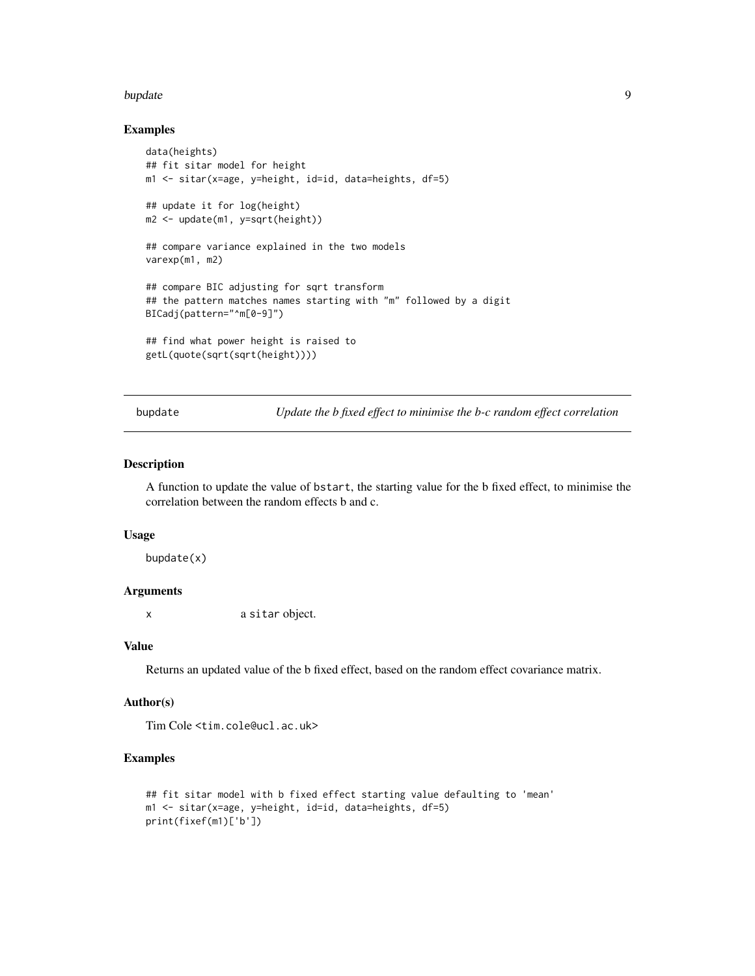#### <span id="page-8-0"></span>bupdate **9** and 2012 12:30 and 2012 12:30 and 2012 12:30 and 2012 12:30 and 2012 12:30 and 2012 12:30 and 2012 12:30 and 2012 12:30 and 2012 12:30 and 2012 12:30 and 2012 12:30 and 2012 12:30 and 2012 12:30 and 2012 12:30

#### Examples

```
data(heights)
## fit sitar model for height
m1 <- sitar(x=age, y=height, id=id, data=heights, df=5)
## update it for log(height)
m2 <- update(m1, y=sqrt(height))
## compare variance explained in the two models
varexp(m1, m2)
## compare BIC adjusting for sqrt transform
## the pattern matches names starting with "m" followed by a digit
BICadj(pattern="^m[0-9]")
## find what power height is raised to
getL(quote(sqrt(sqrt(height))))
```
bupdate *Update the b fixed effect to minimise the b-c random effect correlation*

## Description

A function to update the value of bstart, the starting value for the b fixed effect, to minimise the correlation between the random effects b and c.

# Usage

bupdate(x)

## Arguments

x a sitar object.

### Value

Returns an updated value of the b fixed effect, based on the random effect covariance matrix.

#### Author(s)

Tim Cole <tim.cole@ucl.ac.uk>

# Examples

```
## fit sitar model with b fixed effect starting value defaulting to 'mean'
m1 <- sitar(x=age, y=height, id=id, data=heights, df=5)
print(fixef(m1)['b'])
```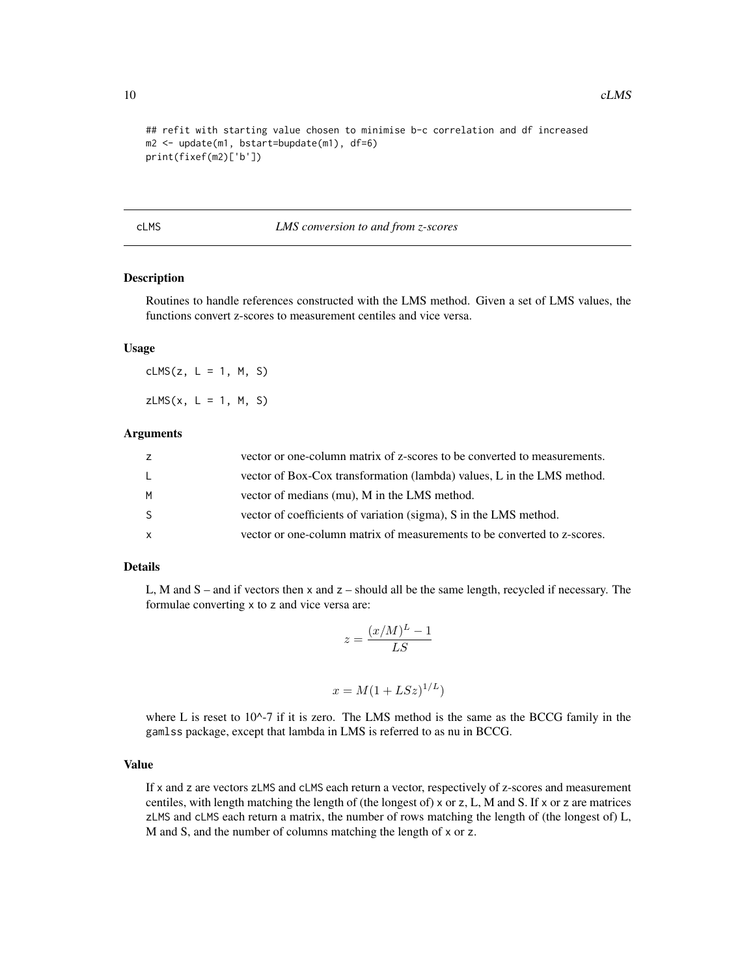```
## refit with starting value chosen to minimise b-c correlation and df increased
m2 <- update(m1, bstart=bupdate(m1), df=6)
print(fixef(m2)['b'])
```
#### <span id="page-9-1"></span>cLMS *LMS conversion to and from z-scores*

# <span id="page-9-2"></span>Description

Routines to handle references constructed with the LMS method. Given a set of LMS values, the functions convert z-scores to measurement centiles and vice versa.

#### Usage

cLMS $(z, L = 1, M, S)$  $zLMS(x, L = 1, M, S)$ 

## Arguments

| Z            | vector or one-column matrix of z-scores to be converted to measurements. |
|--------------|--------------------------------------------------------------------------|
| L.           | vector of Box-Cox transformation (lambda) values, L in the LMS method.   |
| M            | vector of medians (mu), M in the LMS method.                             |
| -S           | vector of coefficients of variation (sigma), S in the LMS method.        |
| $\mathsf{x}$ | vector or one-column matrix of measurements to be converted to z-scores. |

#### Details

L, M and  $S$  – and if vectors then  $x$  and  $z$  – should all be the same length, recycled if necessary. The formulae converting x to z and vice versa are:

$$
z = \frac{(x/M)^L - 1}{LS}
$$

$$
x = M(1 + LSz)^{1/L})
$$

where L is reset to  $10^{\lambda}$ -7 if it is zero. The LMS method is the same as the BCCG family in the gamlss package, except that lambda in LMS is referred to as nu in BCCG.

#### Value

If x and z are vectors zLMS and cLMS each return a vector, respectively of z-scores and measurement centiles, with length matching the length of (the longest of)  $\times$  or z, L, M and S. If  $\times$  or z are matrices zLMS and cLMS each return a matrix, the number of rows matching the length of (the longest of) L, M and S, and the number of columns matching the length of x or z.

<span id="page-9-0"></span>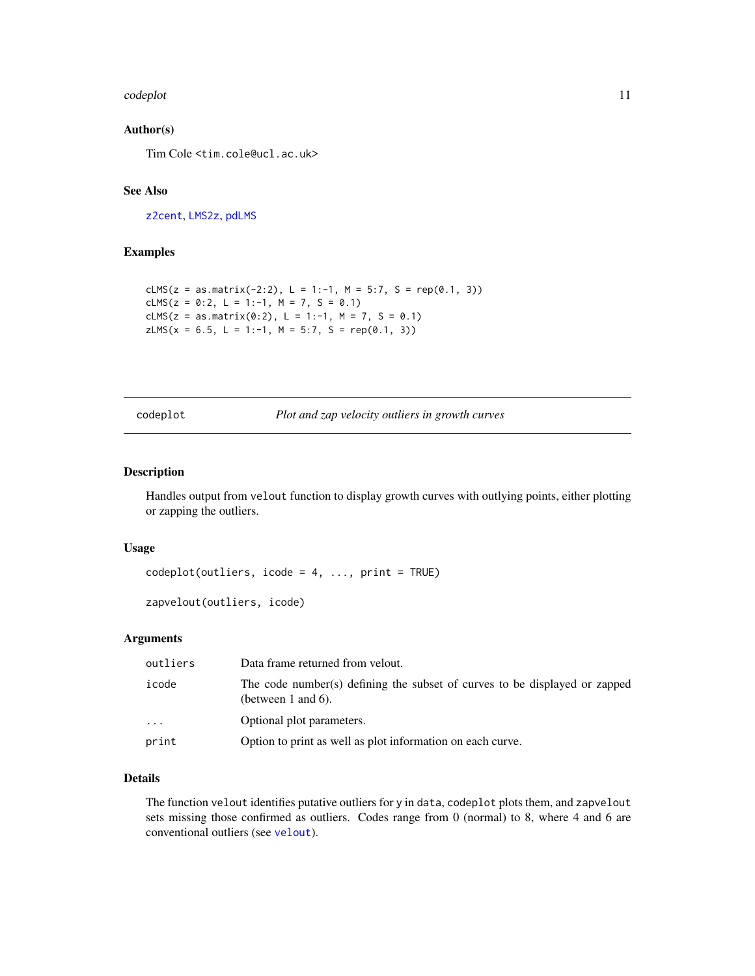#### <span id="page-10-0"></span>codeplot the contract of the contract of the contract of the contract of the contract of the contract of the contract of the contract of the contract of the contract of the contract of the contract of the contract of the c

# Author(s)

Tim Cole <tim.cole@ucl.ac.uk>

# See Also

[z2cent](#page-46-1), [LMS2z](#page-18-1), [pdLMS](#page-22-1)

# Examples

```
cLMS(z = as.matrix(-2:2), L = 1:-1, M = 5:7, S = rep(0.1, 3))
cLMS(z = 0:2, L = 1:-1, M = 7, S = 0.1)
cLMS(z = as.matrix(0:2), L = 1:-1, M = 7, S = 0.1)
zLMS(x = 6.5, L = 1:-1, M = 5:7, S = rep(0.1, 3))
```
<span id="page-10-1"></span>codeplot *Plot and zap velocity outliers in growth curves*

## <span id="page-10-2"></span>Description

Handles output from velout function to display growth curves with outlying points, either plotting or zapping the outliers.

## Usage

```
codeplot(outliers, icode = 4, ..., print = TRUE)
```

```
zapvelout(outliers, icode)
```
# Arguments

| outliers | Data frame returned from velout.                                                                      |
|----------|-------------------------------------------------------------------------------------------------------|
| icode    | The code number(s) defining the subset of curves to be displayed or zapped<br>(between $1$ and $6$ ). |
| $\cdot$  | Optional plot parameters.                                                                             |
| print    | Option to print as well as plot information on each curve.                                            |

#### Details

The function velout identifies putative outliers for y in data, codeplot plots them, and zapvelout sets missing those confirmed as outliers. Codes range from 0 (normal) to 8, where 4 and 6 are conventional outliers (see [velout](#page-40-1)).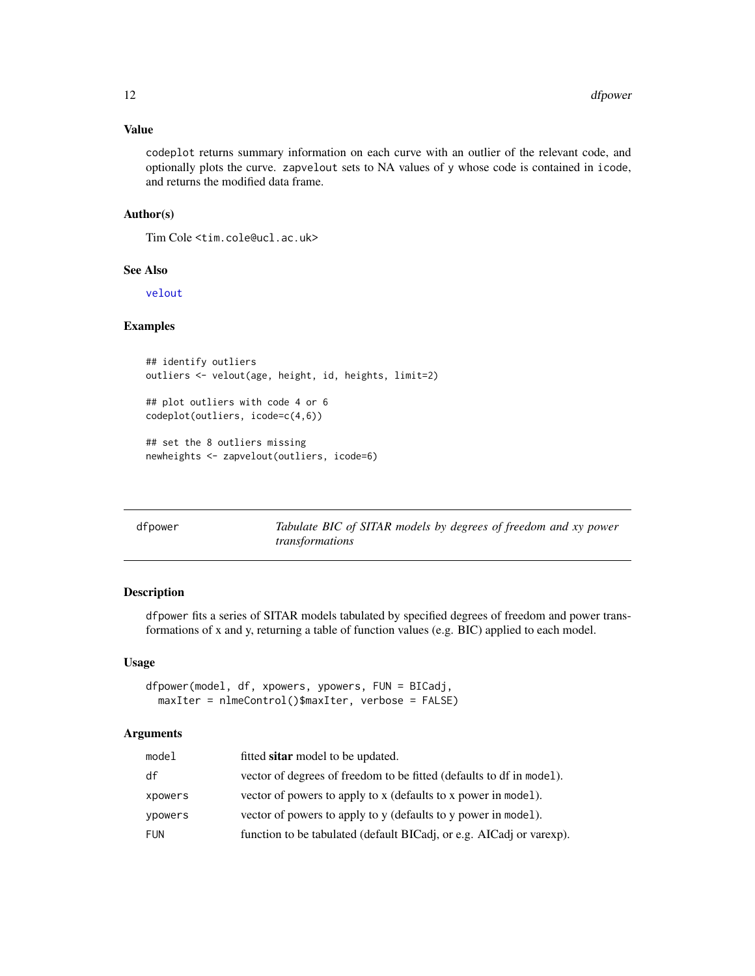# <span id="page-11-0"></span>Value

codeplot returns summary information on each curve with an outlier of the relevant code, and optionally plots the curve. zapvelout sets to NA values of y whose code is contained in icode, and returns the modified data frame.

## Author(s)

Tim Cole <tim.cole@ucl.ac.uk>

# See Also

[velout](#page-40-1)

# Examples

```
## identify outliers
outliers <- velout(age, height, id, heights, limit=2)
## plot outliers with code 4 or 6
codeplot(outliers, icode=c(4,6))
## set the 8 outliers missing
```

| newheights <- zapvelout(outliers, icode=6) |  |  |  |
|--------------------------------------------|--|--|--|

| dfpowei |
|---------|
|         |

r **Tabulate BIC of SITAR models by degrees of freedom and xy power** *transformations*

#### Description

dfpower fits a series of SITAR models tabulated by specified degrees of freedom and power transformations of x and y, returning a table of function values (e.g. BIC) applied to each model.

# Usage

```
dfpower(model, df, xpowers, ypowers, FUN = BICadj,
 maxIter = nlmeControl()$maxIter, verbose = FALSE)
```
# Arguments

| model      | fitted sitar model to be updated.                                    |
|------------|----------------------------------------------------------------------|
| df         | vector of degrees of freedom to be fitted (defaults to df in model). |
| xpowers    | vector of powers to apply to x (defaults to x power in model).       |
| ypowers    | vector of powers to apply to y (defaults to y power in model).       |
| <b>FUN</b> | function to be tabulated (default BICadj, or e.g. AICadj or varexp). |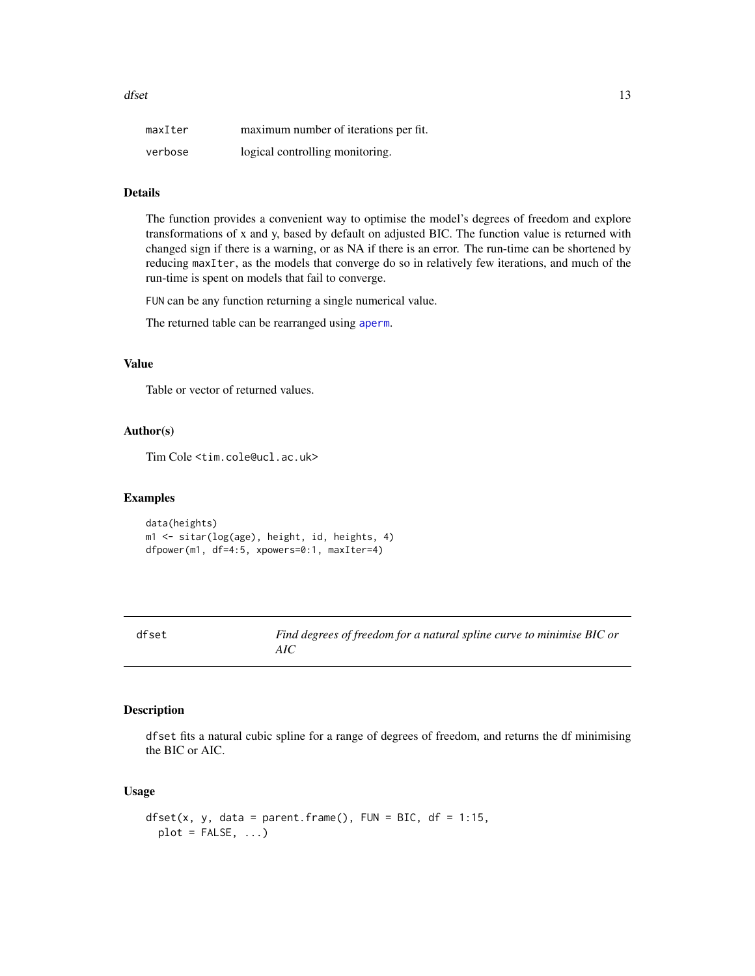<span id="page-12-0"></span>

| maxIter | maximum number of iterations per fit. |
|---------|---------------------------------------|
| verbose | logical controlling monitoring.       |

# **Details**

The function provides a convenient way to optimise the model's degrees of freedom and explore transformations of x and y, based by default on adjusted BIC. The function value is returned with changed sign if there is a warning, or as NA if there is an error. The run-time can be shortened by reducing maxIter, as the models that converge do so in relatively few iterations, and much of the run-time is spent on models that fail to converge.

FUN can be any function returning a single numerical value.

The returned table can be rearranged using [aperm](#page-0-0).

#### Value

Table or vector of returned values.

#### Author(s)

Tim Cole <tim.cole@ucl.ac.uk>

#### Examples

data(heights) m1 <- sitar(log(age), height, id, heights, 4) dfpower(m1, df=4:5, xpowers=0:1, maxIter=4)

Find degrees of freedom for a natural spline curve to minimise BIC or *AIC*

# Description

dfset fits a natural cubic spline for a range of degrees of freedom, and returns the df minimising the BIC or AIC.

## Usage

```
dfset(x, y, data = parent.frame(), FUN = BIC, df = 1:15,
 plot = FALSE, ...)
```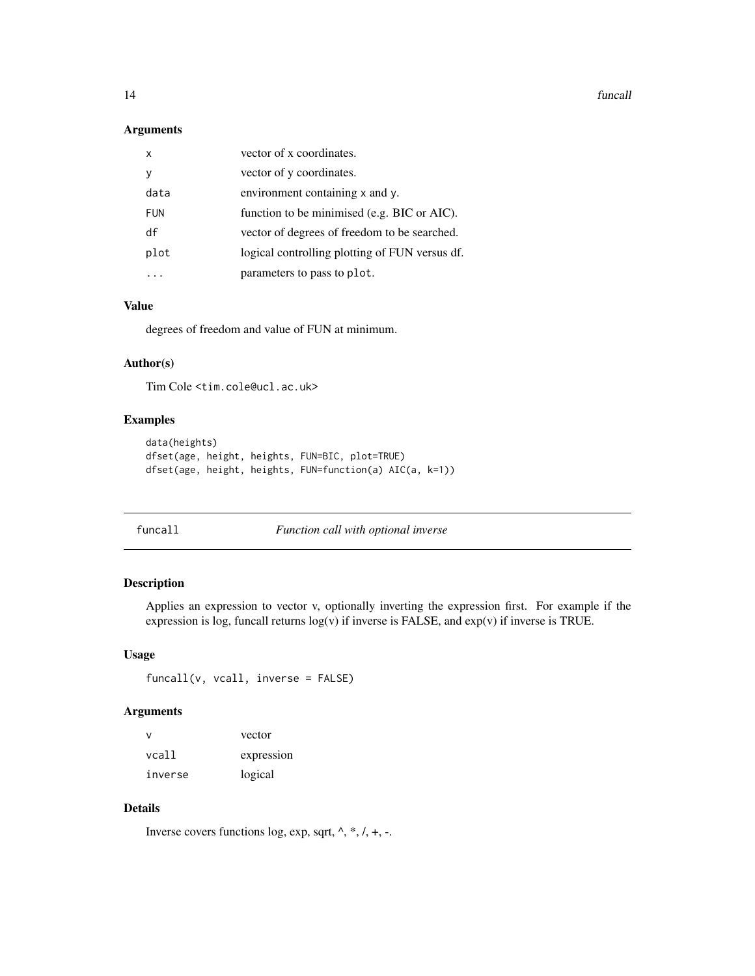<span id="page-13-0"></span>14 funcall

# Arguments

| x          | vector of x coordinates.                       |
|------------|------------------------------------------------|
| ٧          | vector of y coordinates.                       |
| data       | environment containing x and y.                |
| <b>FUN</b> | function to be minimised (e.g. BIC or AIC).    |
| df         | vector of degrees of freedom to be searched.   |
| plot       | logical controlling plotting of FUN versus df. |
|            | parameters to pass to plot.                    |

# Value

degrees of freedom and value of FUN at minimum.

# Author(s)

Tim Cole <tim.cole@ucl.ac.uk>

# Examples

```
data(heights)
dfset(age, height, heights, FUN=BIC, plot=TRUE)
dfset(age, height, heights, FUN=function(a) AIC(a, k=1))
```
# funcall *Function call with optional inverse*

# Description

Applies an expression to vector v, optionally inverting the expression first. For example if the expression is log, funcall returns log(v) if inverse is FALSE, and exp(v) if inverse is TRUE.

#### Usage

funcall(v, vcall, inverse = FALSE)

# Arguments

| v       | vector     |
|---------|------------|
| vcall   | expression |
| inverse | logical    |

# Details

Inverse covers functions log, exp, sqrt,  $\land$ ,  $*, \land$ ,  $+, \neg$ .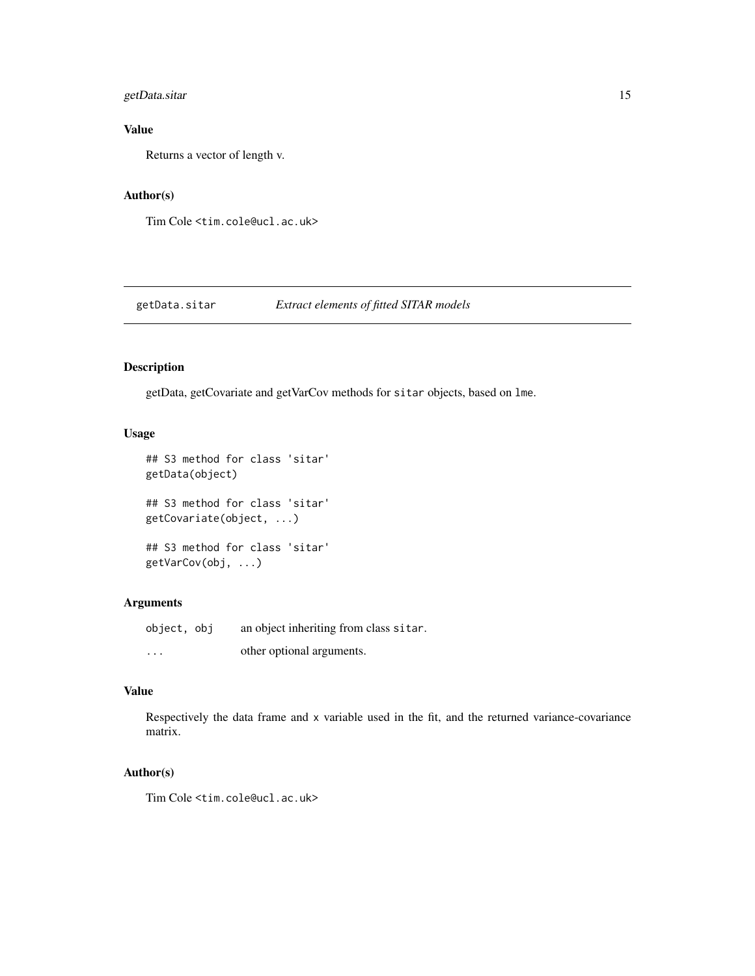# <span id="page-14-0"></span>getData.sitar 15

# Value

Returns a vector of length v.

# Author(s)

Tim Cole <tim.cole@ucl.ac.uk>

# getData.sitar *Extract elements of fitted SITAR models*

# Description

getData, getCovariate and getVarCov methods for sitar objects, based on lme.

# Usage

```
## S3 method for class 'sitar'
getData(object)
## S3 method for class 'sitar'
getCovariate(object, ...)
## S3 method for class 'sitar'
getVarCov(obj, ...)
```
# Arguments

object, obj an object inheriting from class sitar. ... other optional arguments.

# Value

Respectively the data frame and x variable used in the fit, and the returned variance-covariance matrix.

# Author(s)

Tim Cole <tim.cole@ucl.ac.uk>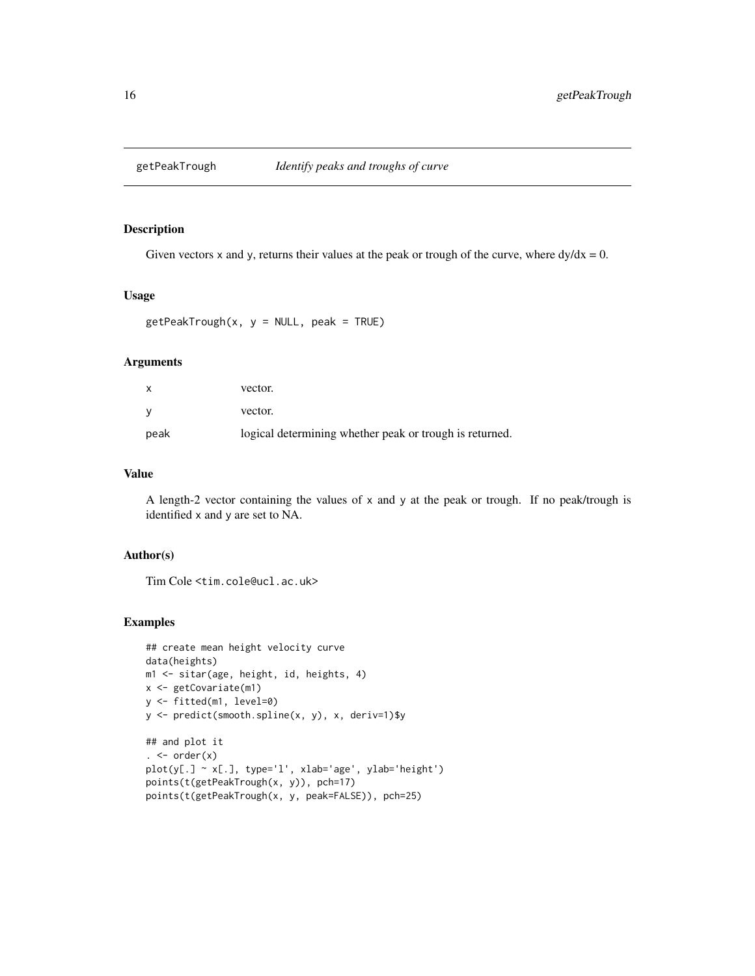<span id="page-15-0"></span>

# Description

Given vectors x and y, returns their values at the peak or trough of the curve, where  $dy/dx = 0$ .

#### Usage

```
getPeakTrough(x, y = NULL, peak = TRUE)
```
# Arguments

| x    | vector.                                                 |
|------|---------------------------------------------------------|
| v    | vector.                                                 |
| peak | logical determining whether peak or trough is returned. |

# Value

A length-2 vector containing the values of x and y at the peak or trough. If no peak/trough is identified x and y are set to NA.

# Author(s)

Tim Cole <tim.cole@ucl.ac.uk>

# Examples

```
## create mean height velocity curve
data(heights)
m1 <- sitar(age, height, id, heights, 4)
x <- getCovariate(m1)
y <- fitted(m1, level=0)
y <- predict(smooth.spline(x, y), x, deriv=1)$y
## and plot it
. \leftarrow order(x)
plot(y[.] ~ x[.], type='l', xlab='age', ylab='height')
points(t(getPeakTrough(x, y)), pch=17)
points(t(getPeakTrough(x, y, peak=FALSE)), pch=25)
```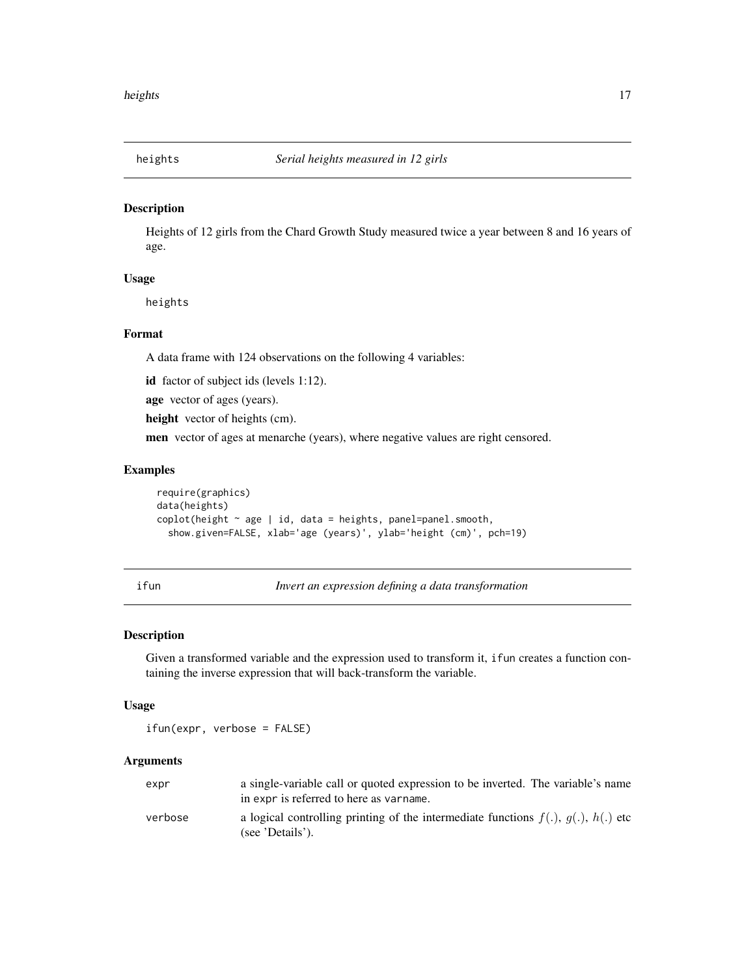<span id="page-16-0"></span>

# Description

Heights of 12 girls from the Chard Growth Study measured twice a year between 8 and 16 years of age.

# Usage

heights

#### Format

A data frame with 124 observations on the following 4 variables:

id factor of subject ids (levels 1:12).

age vector of ages (years).

height vector of heights (cm).

men vector of ages at menarche (years), where negative values are right censored.

#### Examples

```
require(graphics)
data(heights)
\text{coplot}(\text{height} \sim \text{age} \mid \text{id}, \text{data} = \text{heights}, \text{panel} = \text{panel}.\text{smooth},show.given=FALSE, xlab='age (years)', ylab='height (cm)', pch=19)
```
<span id="page-16-1"></span>ifun *Invert an expression defining a data transformation*

#### Description

Given a transformed variable and the expression used to transform it, ifun creates a function containing the inverse expression that will back-transform the variable.

#### Usage

ifun(expr, verbose = FALSE)

#### Arguments

| expr    | a single-variable call or quoted expression to be inverted. The variable's name                                                      |
|---------|--------------------------------------------------------------------------------------------------------------------------------------|
| verbose | in expr is referred to here as varname.<br>a logical controlling printing of the intermediate functions $f(.)$ , $g(.)$ , $h(.)$ etc |
|         | (see 'Details').                                                                                                                     |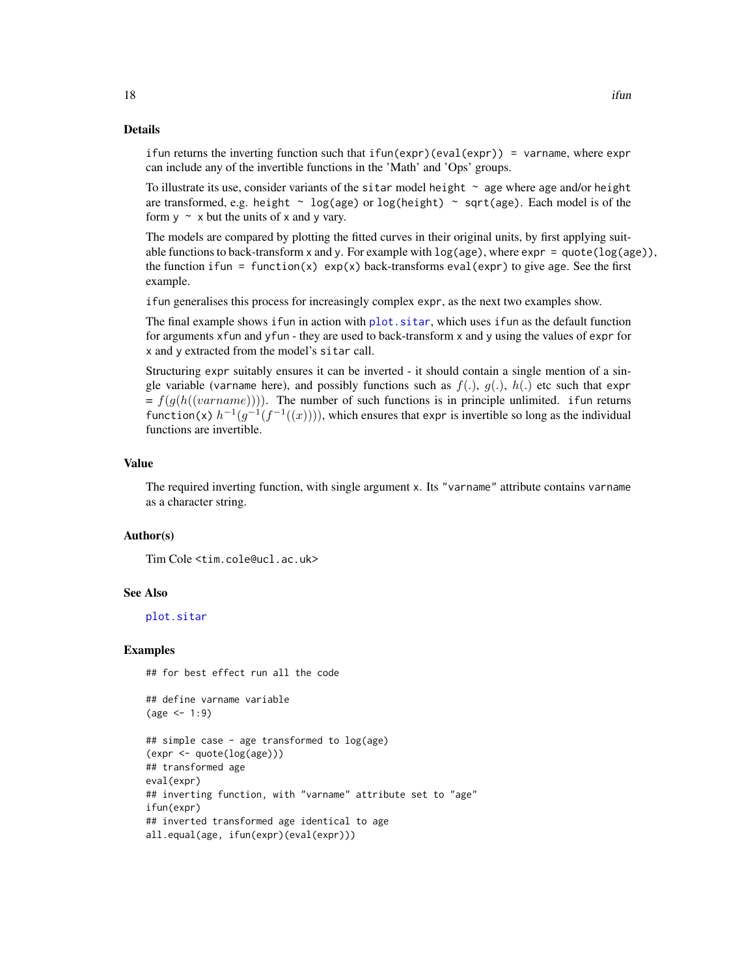## Details

ifun returns the inverting function such that  $ifun(exp)(eval(exp)) = varname$ , where expr can include any of the invertible functions in the 'Math' and 'Ops' groups.

To illustrate its use, consider variants of the sitar model height  $\sim$  age where age and/or height are transformed, e.g. height  $\sim$  log(age) or log(height)  $\sim$  sqrt(age). Each model is of the form  $y \sim x$  but the units of x and y vary.

The models are compared by plotting the fitted curves in their original units, by first applying suitable functions to back-transform x and y. For example with  $log(age)$ , where  $exp = quote(log(age))$ , the function ifun = function(x)  $exp(x)$  back-transforms eval(expr) to give age. See the first example.

ifun generalises this process for increasingly complex expr, as the next two examples show.

The final example shows if un in action with plot. sitar, which uses if un as the default function for arguments xfun and yfun - they are used to back-transform x and y using the values of expr for x and y extracted from the model's sitar call.

Structuring expr suitably ensures it can be inverted - it should contain a single mention of a single variable (varname here), and possibly functions such as  $f(.)$ ,  $g(.)$ ,  $h(.)$  etc such that expr  $= f(g(h((varname)))$ . The number of such functions is in principle unlimited. ifun returns function(x)  $h^{-1}(g^{-1}(f^{-1}((x))))$ , which ensures that expr is invertible so long as the individual functions are invertible.

#### Value

The required inverting function, with single argument x. Its "varname" attribute contains varname as a character string.

#### Author(s)

Tim Cole <tim.cole@ucl.ac.uk>

#### See Also

[plot.sitar](#page-23-1)

#### Examples

## for best effect run all the code

```
## define varname variable
(age < -1:9)
```

```
## simple case - age transformed to log(age)
(expr <- quote(log(age)))
## transformed age
eval(expr)
## inverting function, with "varname" attribute set to "age"
ifun(expr)
## inverted transformed age identical to age
all.equal(age, ifun(expr)(eval(expr)))
```
<span id="page-17-0"></span>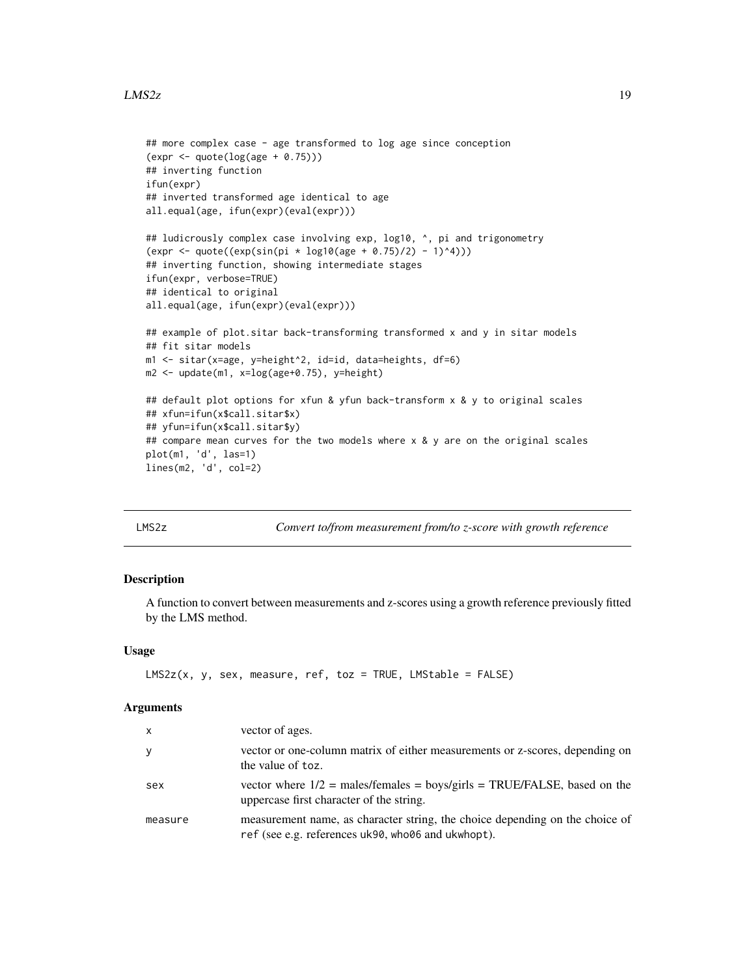#### <span id="page-18-0"></span> $LMS2z$  and the set of the set of the set of the set of the set of the set of the set of the set of the set of the set of the set of the set of the set of the set of the set of the set of the set of the set of the set of t

```
## more complex case - age transformed to log age since conception
(expr <- quote(log(age + 0.75)))
## inverting function
ifun(expr)
## inverted transformed age identical to age
all.equal(age, ifun(expr)(eval(expr)))
## ludicrously complex case involving exp, log10, \land, pi and trigonometry
(exp < -quote((exp(sin(pi * log10(age + 0.75)/2) - 1)^4)))## inverting function, showing intermediate stages
ifun(expr, verbose=TRUE)
## identical to original
all.equal(age, ifun(expr)(eval(expr)))
## example of plot.sitar back-transforming transformed x and y in sitar models
## fit sitar models
m1 <- sitar(x=age, y=height^2, id=id, data=heights, df=6)
m2 <- update(m1, x=log(age+0.75), y=height)
## default plot options for xfun & yfun back-transform x & y to original scales
## xfun=ifun(x$call.sitar$x)
## yfun=ifun(x$call.sitar$y)
## compare mean curves for the two models where x & y are on the original scales
plot(m1, 'd', las=1)
lines(m2, 'd', col=2)
```
<span id="page-18-1"></span>LMS2z *Convert to/from measurement from/to z-score with growth reference*

#### Description

A function to convert between measurements and z-scores using a growth reference previously fitted by the LMS method.

#### Usage

```
LMS2z(x, y, sex, measure, ref, toz = TRUE, LMStable = FALSE)
```
#### Arguments

| X       | vector of ages.                                                                                                                    |
|---------|------------------------------------------------------------------------------------------------------------------------------------|
| У       | vector or one-column matrix of either measurements or z-scores, depending on<br>the value of toz.                                  |
| sex     | vector where $1/2$ = males/females = boys/girls = TRUE/FALSE, based on the<br>uppercase first character of the string.             |
| measure | measurement name, as character string, the choice depending on the choice of<br>ref (see e.g. references uk90, who06 and ukwhopt). |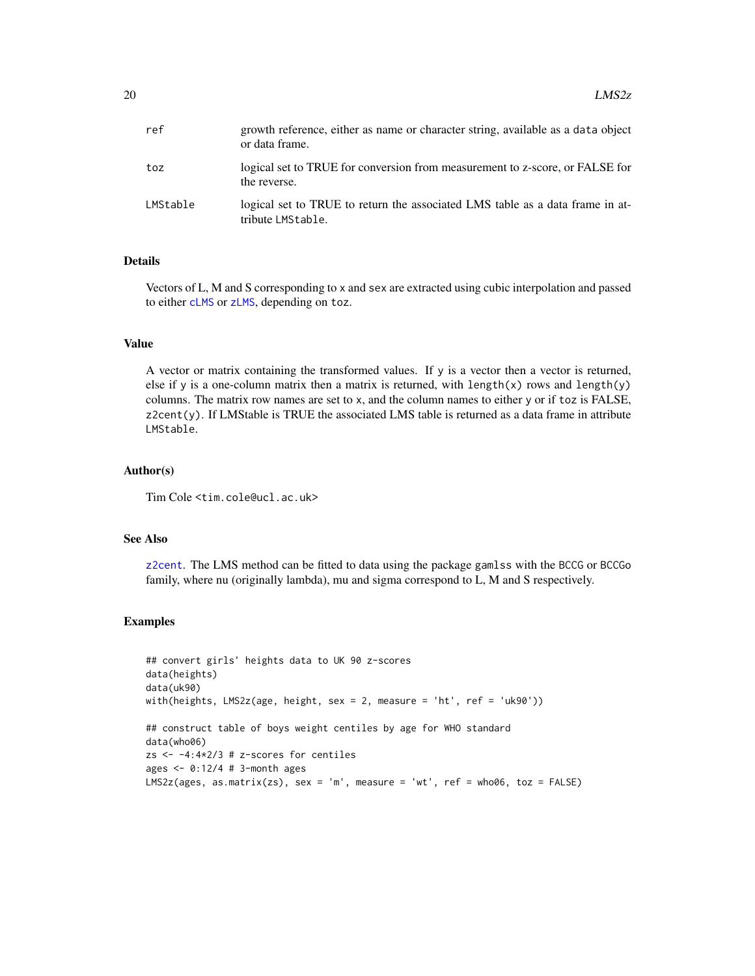<span id="page-19-0"></span>

| ref      | growth reference, either as name or character string, available as a data object<br>or data frame. |
|----------|----------------------------------------------------------------------------------------------------|
| toz      | logical set to TRUE for conversion from measurement to z-score, or FALSE for<br>the reverse.       |
| LMStable | logical set to TRUE to return the associated LMS table as a data frame in at-<br>tribute LMStable. |

# Details

Vectors of L, M and S corresponding to x and sex are extracted using cubic interpolation and passed to either [cLMS](#page-9-1) or [zLMS](#page-9-2), depending on toz.

## Value

A vector or matrix containing the transformed values. If y is a vector then a vector is returned, else if y is a one-column matrix then a matrix is returned, with length $(x)$  rows and length $(y)$ columns. The matrix row names are set to x, and the column names to either y or if toz is FALSE, z2cent(y). If LMStable is TRUE the associated LMS table is returned as a data frame in attribute LMStable.

#### Author(s)

Tim Cole <tim.cole@ucl.ac.uk>

# See Also

[z2cent](#page-46-1). The LMS method can be fitted to data using the package gamlss with the BCCG or BCCGo family, where nu (originally lambda), mu and sigma correspond to L, M and S respectively.

#### Examples

```
## convert girls' heights data to UK 90 z-scores
data(heights)
data(uk90)
with(heights, LMS2z(age, height, sex = 2, measure = 'ht', ref = 'uk90'))
## construct table of boys weight centiles by age for WHO standard
data(who06)
zs <- -4:4*2/3 # z-scores for centiles
ages \leq -0.12/4 # 3-month ages
LMS2z(ages, as.matrix(zs), sex = 'm', measure = 'wt', ref = who06, toz = FALSE)
```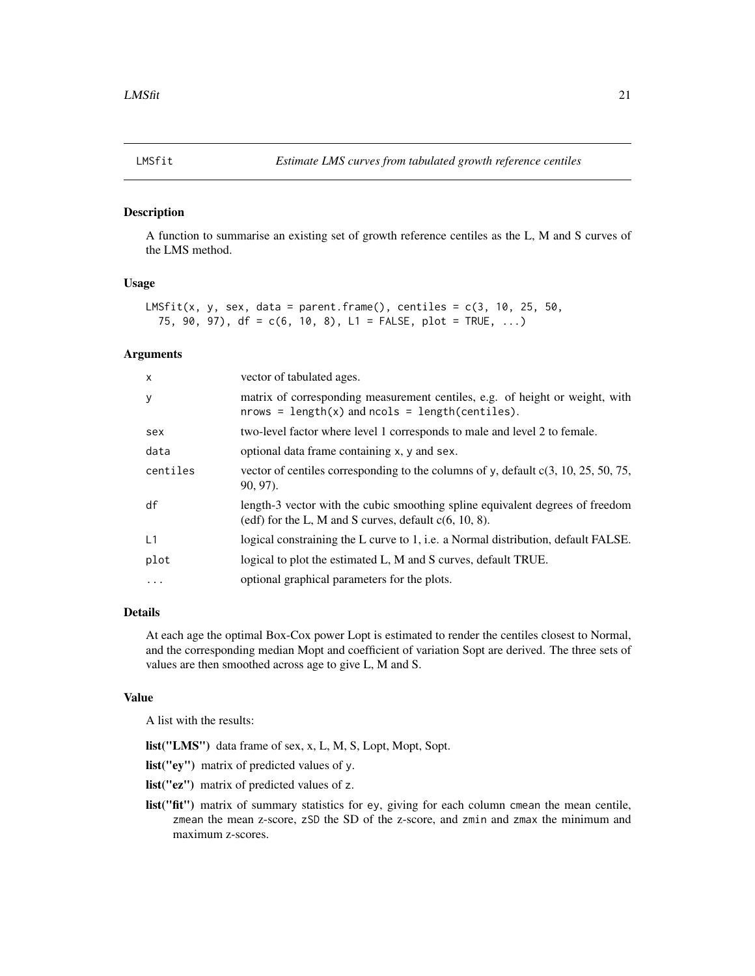<span id="page-20-0"></span>

### Description

A function to summarise an existing set of growth reference centiles as the L, M and S curves of the LMS method.

# Usage

```
LMSfit(x, y, sex, data = parent.frame(), centiles = c(3, 10, 25, 50, 10)75, 90, 97), df = c(6, 10, 8), L1 = FALSE, plot = TRUE, ...)
```
#### **Arguments**

| $\mathsf{x}$ | vector of tabulated ages.                                                                                                                 |
|--------------|-------------------------------------------------------------------------------------------------------------------------------------------|
| y            | matrix of corresponding measurement centiles, e.g. of height or weight, with<br>$nrows = length(x)$ and $ncols = length(centities)$ .     |
| sex          | two-level factor where level 1 corresponds to male and level 2 to female.                                                                 |
| data         | optional data frame containing x, y and sex.                                                                                              |
| centiles     | vector of centiles corresponding to the columns of y, default $c(3, 10, 25, 50, 75,$<br>$90, 97$ ).                                       |
| df           | length-3 vector with the cubic smoothing spline equivalent degrees of freedom<br>(edf) for the L, M and S curves, default $c(6, 10, 8)$ . |
| L1           | logical constraining the L curve to 1, i.e. a Normal distribution, default FALSE.                                                         |
| plot         | logical to plot the estimated L, M and S curves, default TRUE.                                                                            |
| $\cdots$     | optional graphical parameters for the plots.                                                                                              |

# Details

At each age the optimal Box-Cox power Lopt is estimated to render the centiles closest to Normal, and the corresponding median Mopt and coefficient of variation Sopt are derived. The three sets of values are then smoothed across age to give L, M and S.

## Value

A list with the results:

list("LMS") data frame of sex, x, L, M, S, Lopt, Mopt, Sopt.

list("ey") matrix of predicted values of y.

- list("ez") matrix of predicted values of z.
- list("fit") matrix of summary statistics for ey, giving for each column cmean the mean centile, zmean the mean z-score, zSD the SD of the z-score, and zmin and zmax the minimum and maximum z-scores.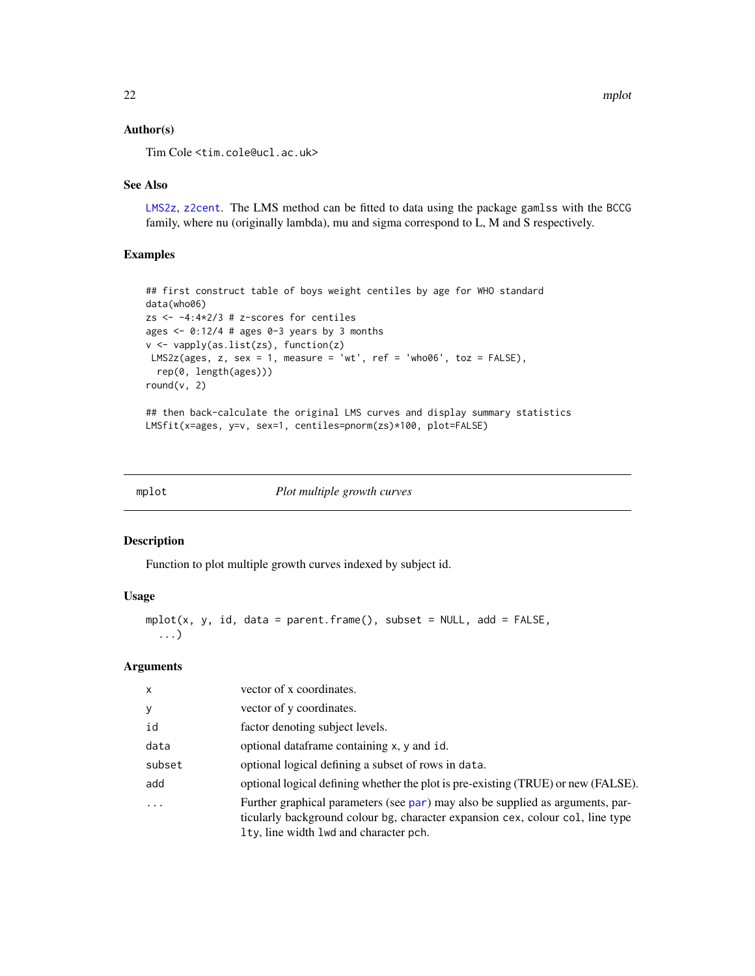# <span id="page-21-0"></span>Author(s)

Tim Cole <tim.cole@ucl.ac.uk>

#### See Also

[LMS2z](#page-18-1), [z2cent](#page-46-1). The LMS method can be fitted to data using the package gamlss with the BCCG family, where nu (originally lambda), mu and sigma correspond to L, M and S respectively.

## Examples

```
## first construct table of boys weight centiles by age for WHO standard
data(who06)
zs <- -4:4*2/3 # z-scores for centiles
ages \leq -0.12/4 # ages 0-3 years by 3 months
v <- vapply(as.list(zs), function(z)
LMS2z(ages, z, sex = 1, measure = 'wt', ref = 'who06', toz = FALSE),
  rep(0, length(ages)))
round(v, 2)
```
## then back-calculate the original LMS curves and display summary statistics LMSfit(x=ages, y=v, sex=1, centiles=pnorm(zs)\*100, plot=FALSE)

<span id="page-21-1"></span>

| Plot multiple growth curves<br>mplot |
|--------------------------------------|
|--------------------------------------|

## Description

Function to plot multiple growth curves indexed by subject id.

# Usage

```
mplot(x, y, id, data = parent-frame(), subset = NULL, add = FALSE,...)
```
## Arguments

| $\mathsf{x}$ | vector of x coordinates.                                                                                                                                                                                   |
|--------------|------------------------------------------------------------------------------------------------------------------------------------------------------------------------------------------------------------|
| У            | vector of y coordinates.                                                                                                                                                                                   |
| id           | factor denoting subject levels.                                                                                                                                                                            |
| data         | optional dataframe containing x, y and id.                                                                                                                                                                 |
| subset       | optional logical defining a subset of rows in data.                                                                                                                                                        |
| add          | optional logical defining whether the plot is pre-existing (TRUE) or new (FALSE).                                                                                                                          |
|              | Further graphical parameters (see par) may also be supplied as arguments, par-<br>ticularly background colour bg, character expansion cex, colour col, line type<br>Ity, line width lwd and character pch. |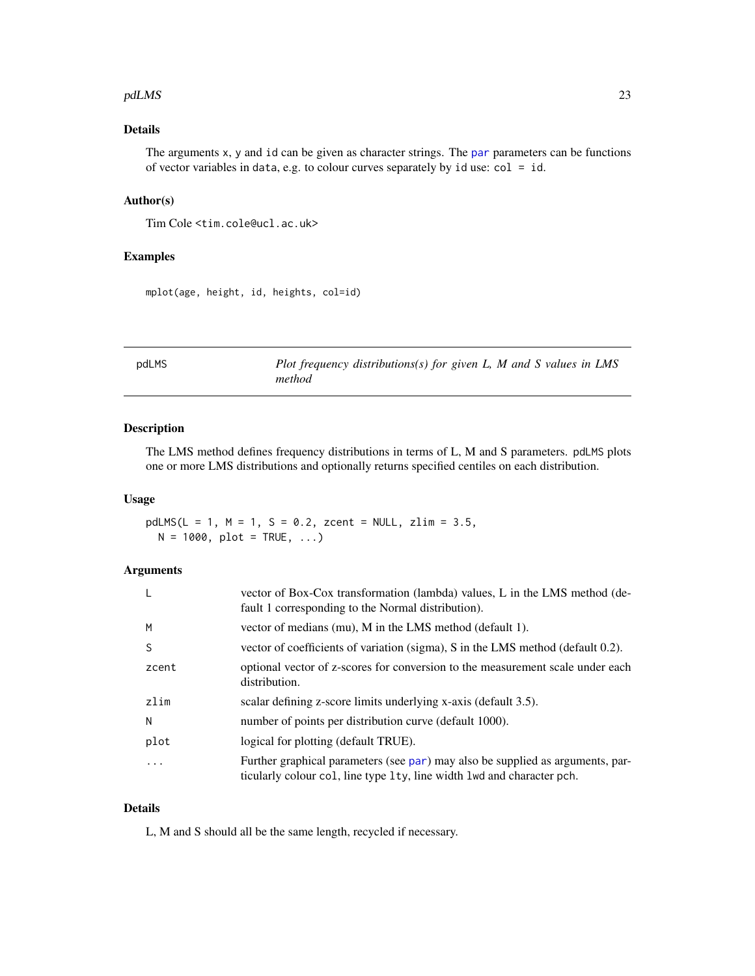#### <span id="page-22-0"></span>pdLMS 23

# Details

The arguments x, y and id can be given as character strings. The [par](#page-0-0) parameters can be functions of vector variables in data, e.g. to colour curves separately by id use: col = id.

# Author(s)

Tim Cole <tim.cole@ucl.ac.uk>

# Examples

mplot(age, height, id, heights, col=id)

<span id="page-22-1"></span>

pdLMS *Plot frequency distributions(s) for given L, M and S values in LMS method*

# Description

The LMS method defines frequency distributions in terms of L, M and S parameters. pdLMS plots one or more LMS distributions and optionally returns specified centiles on each distribution.

#### Usage

 $pdLMS(L = 1, M = 1, S = 0.2, zcent = NULL, zlim = 3.5,$  $N = 1000$ ,  $plot = TRUE, ...$ 

# Arguments

|       | vector of Box-Cox transformation (lambda) values, L in the LMS method (de-<br>fault 1 corresponding to the Normal distribution).                         |
|-------|----------------------------------------------------------------------------------------------------------------------------------------------------------|
| M     | vector of medians (mu), M in the LMS method (default 1).                                                                                                 |
| S     | vector of coefficients of variation (sigma), S in the LMS method (default 0.2).                                                                          |
| zcent | optional vector of z-scores for conversion to the measurement scale under each<br>distribution.                                                          |
| zlim  | scalar defining z-score limits underlying x-axis (default 3.5).                                                                                          |
| N     | number of points per distribution curve (default 1000).                                                                                                  |
| plot  | logical for plotting (default TRUE).                                                                                                                     |
| .     | Further graphical parameters (see par) may also be supplied as arguments, par-<br>ticularly colour col, line type 1ty, line width 1wd and character pch. |

#### Details

L, M and S should all be the same length, recycled if necessary.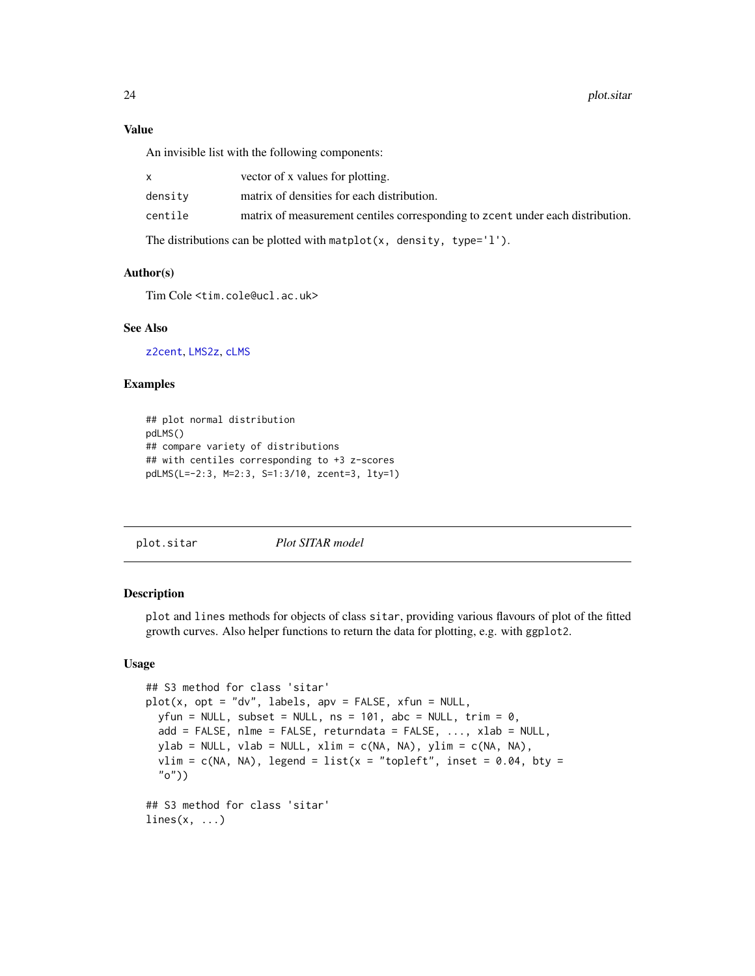<span id="page-23-0"></span>An invisible list with the following components:

|         | vector of x values for plotting.                                               |
|---------|--------------------------------------------------------------------------------|
| densitv | matrix of densities for each distribution.                                     |
| centile | matrix of measurement centiles corresponding to zeent under each distribution. |
|         |                                                                                |

The distributions can be plotted with matplot(x, density, type= $'1'$ ).

#### Author(s)

Tim Cole <tim.cole@ucl.ac.uk>

#### See Also

[z2cent](#page-46-1), [LMS2z](#page-18-1), [cLMS](#page-9-1)

## Examples

```
## plot normal distribution
pdLMS()
## compare variety of distributions
## with centiles corresponding to +3 z-scores
pdLMS(L=-2:3, M=2:3, S=1:3/10, zcent=3, lty=1)
```
<span id="page-23-1"></span>plot.sitar *Plot SITAR model*

# Description

plot and lines methods for objects of class sitar, providing various flavours of plot of the fitted growth curves. Also helper functions to return the data for plotting, e.g. with ggplot2.

# Usage

```
## S3 method for class 'sitar'
plot(x, opt = "dv", labels, apv = FALSE, xfun = NULL,
 yfun = NULL, subset = NULL, ns = 101, abc = NULL, trim = 0,
  add = FALSE, nlm = FALSE, return data = FALSE, ..., xlab = NULL,ylab = NULL, vlab = NULL, xlim = c(NA, NA), ylim = c(NA, NA),
  vlim = c(NA, NA), legend = list(x = "topleft", inset = 0.04, bty =
  "o"))
## S3 method for class 'sitar'
lines(x, \ldots)
```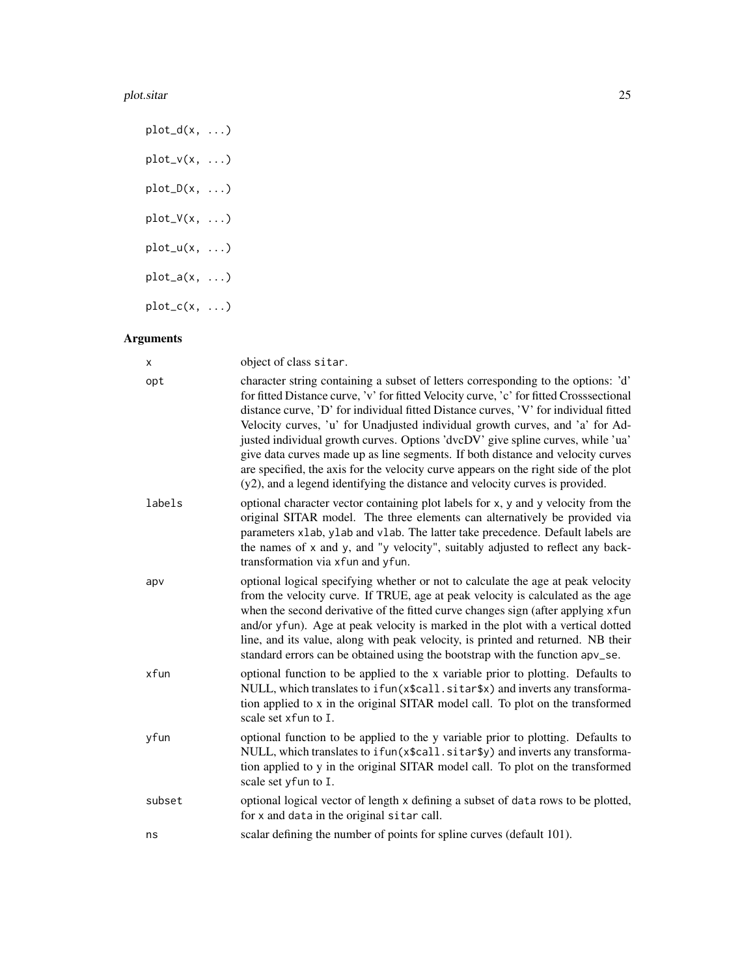#### plot.sitar 25

 $plot_d(x, \ldots)$  $plot_v(x, \ldots)$  $plot_D(x, \ldots)$  $plot_V(x, \ldots)$  $plot_u(x, \ldots)$  $plot_a(x, \ldots)$  $plot_c(x, \ldots)$ 

# Arguments

| x      | object of class sitar.                                                                                                                                                                                                                                                                                                                                                                                                                                                                                                                                                                                                                                                                              |
|--------|-----------------------------------------------------------------------------------------------------------------------------------------------------------------------------------------------------------------------------------------------------------------------------------------------------------------------------------------------------------------------------------------------------------------------------------------------------------------------------------------------------------------------------------------------------------------------------------------------------------------------------------------------------------------------------------------------------|
| opt    | character string containing a subset of letters corresponding to the options: 'd'<br>for fitted Distance curve, 'v' for fitted Velocity curve, 'c' for fitted Crosssectional<br>distance curve, 'D' for individual fitted Distance curves, 'V' for individual fitted<br>Velocity curves, 'u' for Unadjusted individual growth curves, and 'a' for Ad-<br>justed individual growth curves. Options 'dvcDV' give spline curves, while 'ua'<br>give data curves made up as line segments. If both distance and velocity curves<br>are specified, the axis for the velocity curve appears on the right side of the plot<br>(y2), and a legend identifying the distance and velocity curves is provided. |
| labels | optional character vector containing plot labels for x, y and y velocity from the<br>original SITAR model. The three elements can alternatively be provided via<br>parameters xlab, ylab and vlab. The latter take precedence. Default labels are<br>the names of x and y, and "y velocity", suitably adjusted to reflect any back-<br>transformation via xfun and yfun.                                                                                                                                                                                                                                                                                                                            |
| apv    | optional logical specifying whether or not to calculate the age at peak velocity<br>from the velocity curve. If TRUE, age at peak velocity is calculated as the age<br>when the second derivative of the fitted curve changes sign (after applying xfun<br>and/or yfun). Age at peak velocity is marked in the plot with a vertical dotted<br>line, and its value, along with peak velocity, is printed and returned. NB their<br>standard errors can be obtained using the bootstrap with the function apv_se.                                                                                                                                                                                     |
| xfun   | optional function to be applied to the x variable prior to plotting. Defaults to<br>NULL, which translates to if un(x\$call.sitar\$x) and inverts any transforma-<br>tion applied to x in the original SITAR model call. To plot on the transformed<br>scale set xfun to I.                                                                                                                                                                                                                                                                                                                                                                                                                         |
| yfun   | optional function to be applied to the y variable prior to plotting. Defaults to<br>NULL, which translates to ifun(x\$call.sitar\$y) and inverts any transforma-<br>tion applied to y in the original SITAR model call. To plot on the transformed<br>scale set yfun to I.                                                                                                                                                                                                                                                                                                                                                                                                                          |
| subset | optional logical vector of length x defining a subset of data rows to be plotted,<br>for x and data in the original sitar call.                                                                                                                                                                                                                                                                                                                                                                                                                                                                                                                                                                     |
| ns     | scalar defining the number of points for spline curves (default 101).                                                                                                                                                                                                                                                                                                                                                                                                                                                                                                                                                                                                                               |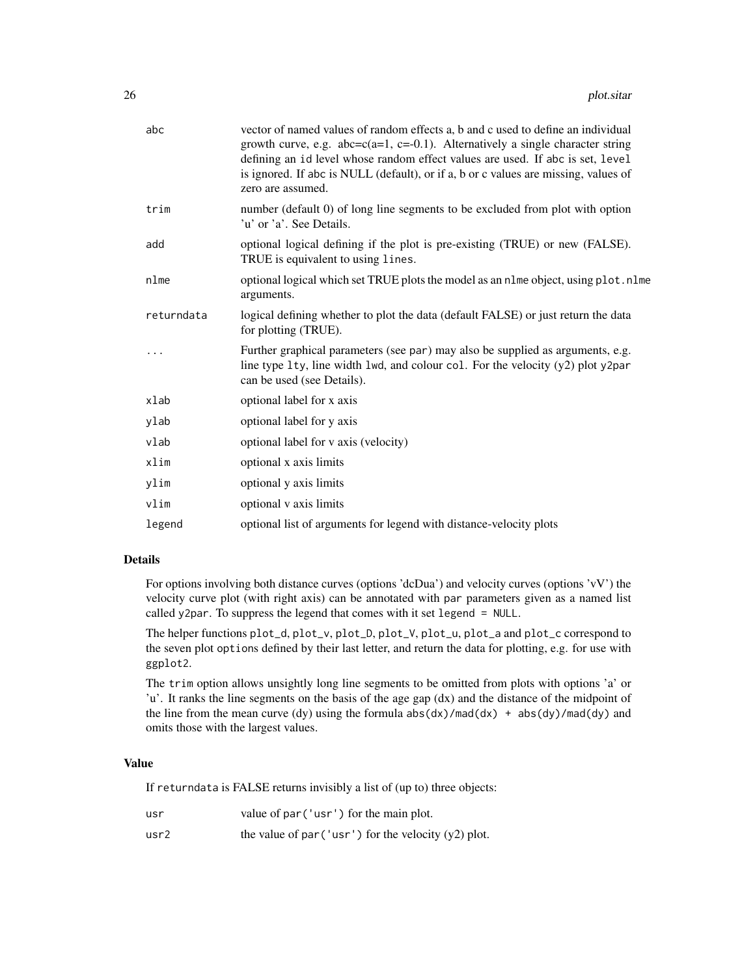| abc        | vector of named values of random effects a, b and c used to define an individual<br>growth curve, e.g. $abc = c(a=1, c=-0.1)$ . Alternatively a single character string<br>defining an id level whose random effect values are used. If abc is set, level<br>is ignored. If abc is NULL (default), or if a, b or c values are missing, values of<br>zero are assumed. |
|------------|-----------------------------------------------------------------------------------------------------------------------------------------------------------------------------------------------------------------------------------------------------------------------------------------------------------------------------------------------------------------------|
| trim       | number (default 0) of long line segments to be excluded from plot with option<br>'u' or 'a'. See Details.                                                                                                                                                                                                                                                             |
| add        | optional logical defining if the plot is pre-existing (TRUE) or new (FALSE).<br>TRUE is equivalent to using lines.                                                                                                                                                                                                                                                    |
| nlme       | optional logical which set TRUE plots the model as an n1me object, using p1ot.n1me<br>arguments.                                                                                                                                                                                                                                                                      |
| returndata | logical defining whether to plot the data (default FALSE) or just return the data<br>for plotting (TRUE).                                                                                                                                                                                                                                                             |
|            | Further graphical parameters (see par) may also be supplied as arguments, e.g.<br>line type $l$ ty, line width $l$ wd, and colour col. For the velocity $(y2)$ plot y2par<br>can be used (see Details).                                                                                                                                                               |
| xlab       | optional label for x axis                                                                                                                                                                                                                                                                                                                                             |
| ylab       | optional label for y axis                                                                                                                                                                                                                                                                                                                                             |
| vlab       | optional label for v axis (velocity)                                                                                                                                                                                                                                                                                                                                  |
| xlim       | optional x axis limits                                                                                                                                                                                                                                                                                                                                                |
| ylim       | optional y axis limits                                                                                                                                                                                                                                                                                                                                                |
| vlim       | optional v axis limits                                                                                                                                                                                                                                                                                                                                                |
| legend     | optional list of arguments for legend with distance-velocity plots                                                                                                                                                                                                                                                                                                    |

#### Details

For options involving both distance curves (options 'dcDua') and velocity curves (options 'vV') the velocity curve plot (with right axis) can be annotated with par parameters given as a named list called y2par. To suppress the legend that comes with it set legend = NULL.

The helper functions plot\_d, plot\_v, plot\_D, plot\_V, plot\_u, plot\_a and plot\_c correspond to the seven plot options defined by their last letter, and return the data for plotting, e.g. for use with ggplot2.

The trim option allows unsightly long line segments to be omitted from plots with options 'a' or 'u'. It ranks the line segments on the basis of the age gap (dx) and the distance of the midpoint of the line from the mean curve (dy) using the formula  $abs(dx)/mod(dx) + abs(dy)/mod(dy)$  and omits those with the largest values.

# Value

If returndata is FALSE returns invisibly a list of (up to) three objects:

| usr              | value of par ('usr') for the main plot.                |
|------------------|--------------------------------------------------------|
| usr <sub>2</sub> | the value of par ('usr') for the velocity $(y2)$ plot. |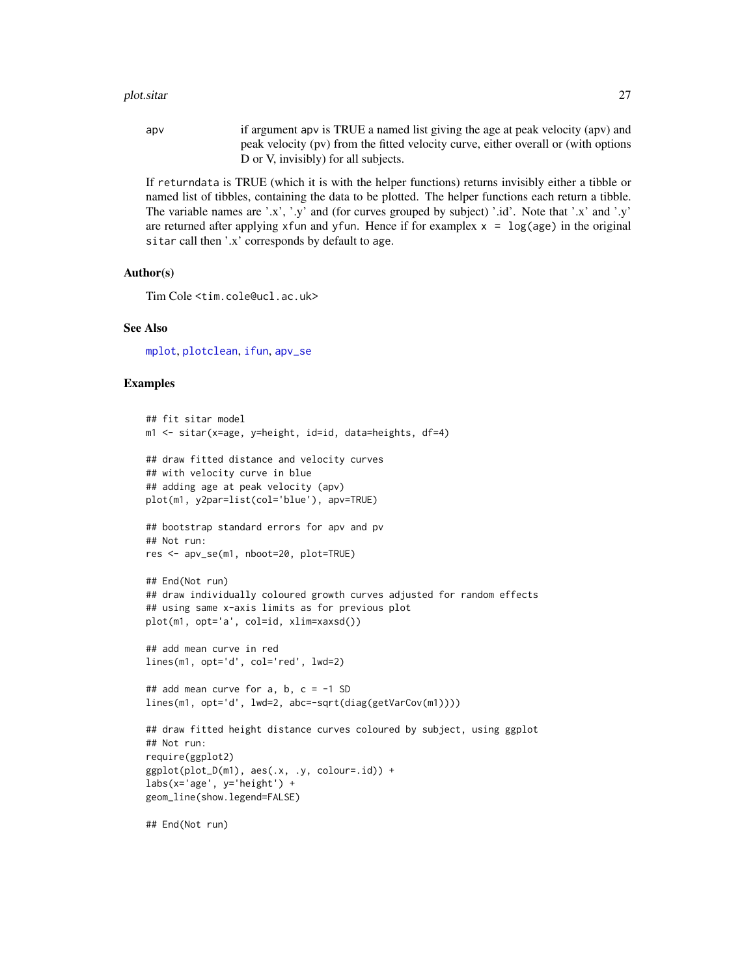#### <span id="page-26-0"></span>plot.sitar 27

apv if argument apv is TRUE a named list giving the age at peak velocity (apv) and peak velocity (pv) from the fitted velocity curve, either overall or (with options D or V, invisibly) for all subjects.

If returndata is TRUE (which it is with the helper functions) returns invisibly either a tibble or named list of tibbles, containing the data to be plotted. The helper functions each return a tibble. The variable names are '.x', '.y' and (for curves grouped by subject) '.id'. Note that '.x' and '.y' are returned after applying xfun and yfun. Hence if for examplex  $x = \log(\text{age})$  in the original sitar call then '.x' corresponds by default to age.

### Author(s)

Tim Cole <tim.cole@ucl.ac.uk>

#### See Also

[mplot](#page-21-1), [plotclean](#page-27-1), [ifun](#page-16-1), [apv\\_se](#page-4-1)

#### Examples

```
## fit sitar model
m1 <- sitar(x=age, y=height, id=id, data=heights, df=4)
## draw fitted distance and velocity curves
## with velocity curve in blue
## adding age at peak velocity (apv)
plot(m1, y2par=list(col='blue'), apv=TRUE)
## bootstrap standard errors for apv and pv
## Not run:
res <- apv_se(m1, nboot=20, plot=TRUE)
## End(Not run)
## draw individually coloured growth curves adjusted for random effects
## using same x-axis limits as for previous plot
plot(m1, opt='a', col=id, xlim=xaxsd())
## add mean curve in red
lines(m1, opt='d', col='red', lwd=2)
## add mean curve for a, b, c = -1 SD
lines(m1, opt='d', lwd=2, abc=-sqrt(diag(getVarCov(m1))))
## draw fitted height distance curves coloured by subject, using ggplot
## Not run:
require(ggplot2)
ggplot(plot_D(m1), aes(.x, .y, colour=.id)) +\text{labs}(x='age', y='height') +geom_line(show.legend=FALSE)
## End(Not run)
```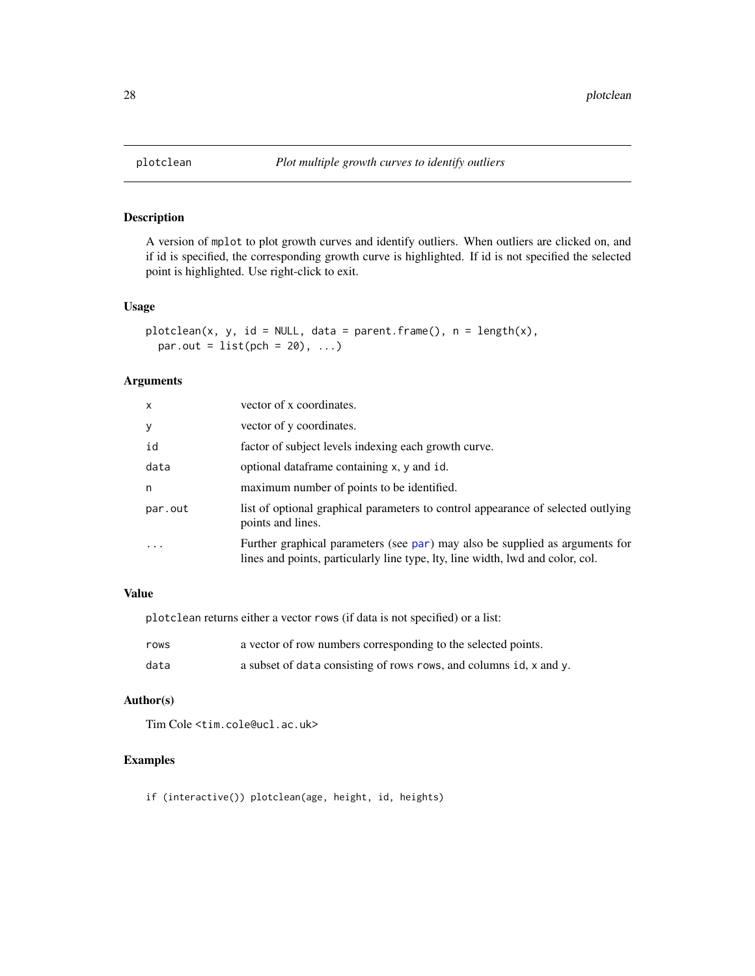<span id="page-27-1"></span><span id="page-27-0"></span>

# Description

A version of mplot to plot growth curves and identify outliers. When outliers are clicked on, and if id is specified, the corresponding growth curve is highlighted. If id is not specified the selected point is highlighted. Use right-click to exit.

# Usage

```
plotclean(x, y, id = NULL, data = parent.frame(), n = length(x),
 par.out = list(pch = 20), ...
```
# Arguments

| X       | vector of x coordinates.                                                                                                                                       |
|---------|----------------------------------------------------------------------------------------------------------------------------------------------------------------|
| y       | vector of y coordinates.                                                                                                                                       |
| id      | factor of subject levels indexing each growth curve.                                                                                                           |
| data    | optional dataframe containing x, y and id.                                                                                                                     |
| n       | maximum number of points to be identified.                                                                                                                     |
| par.out | list of optional graphical parameters to control appearance of selected outlying<br>points and lines.                                                          |
|         | Further graphical parameters (see par) may also be supplied as arguments for<br>lines and points, particularly line type, lty, line width, lwd and color, col. |

# Value

plotclean returns either a vector rows (if data is not specified) or a list:

| rows | a vector of row numbers corresponding to the selected points.      |
|------|--------------------------------------------------------------------|
| data | a subset of data consisting of rows rows, and columns id, x and y. |

# Author(s)

Tim Cole <tim.cole@ucl.ac.uk>

# Examples

if (interactive()) plotclean(age, height, id, heights)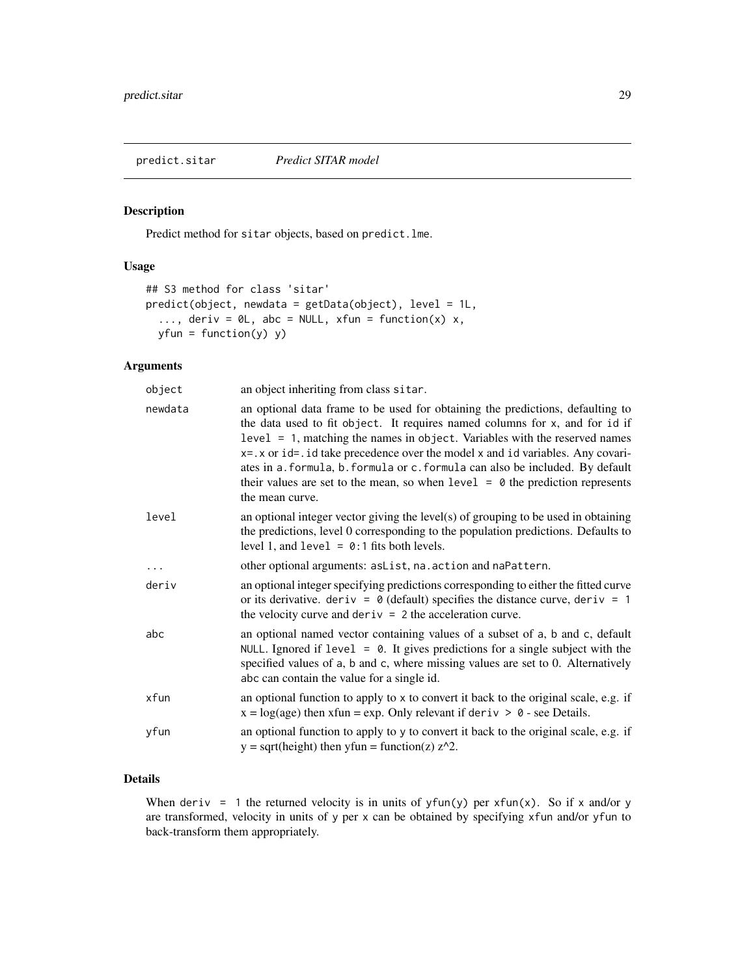<span id="page-28-0"></span>

# Description

Predict method for sitar objects, based on predict.lme.

## Usage

```
## S3 method for class 'sitar'
predict(object, newdata = getData(object), level = 1L,
  ..., deriv = \emptyset L, abc = NULL, xfun = function(x) x,
 yfun = function(y) y)
```
# Arguments

| object  | an object inheriting from class sitar.                                                                                                                                                                                                                                                                                                                                                                                                                                                                                     |
|---------|----------------------------------------------------------------------------------------------------------------------------------------------------------------------------------------------------------------------------------------------------------------------------------------------------------------------------------------------------------------------------------------------------------------------------------------------------------------------------------------------------------------------------|
| newdata | an optional data frame to be used for obtaining the predictions, defaulting to<br>the data used to fit object. It requires named columns for x, and for id if<br>$level = 1$ , matching the names in object. Variables with the reserved names<br>$x = x$ or id=. id take precedence over the model x and id variables. Any covari-<br>ates in a. formula, b. formula or c. formula can also be included. By default<br>their values are set to the mean, so when $level = 0$ the prediction represents<br>the mean curve. |
| level   | an optional integer vector giving the level(s) of grouping to be used in obtaining<br>the predictions, level 0 corresponding to the population predictions. Defaults to<br>level 1, and $level = 0:1$ fits both levels.                                                                                                                                                                                                                                                                                                    |
|         | other optional arguments: asList, na. action and naPattern.                                                                                                                                                                                                                                                                                                                                                                                                                                                                |
| deriv   | an optional integer specifying predictions corresponding to either the fitted curve<br>or its derivative. deriv = $\theta$ (default) specifies the distance curve, deriv = 1<br>the velocity curve and $deriv = 2$ the acceleration curve.                                                                                                                                                                                                                                                                                 |
| abc     | an optional named vector containing values of a subset of a, b and c, default<br>NULL. Ignored if $level = 0$ . It gives predictions for a single subject with the<br>specified values of a, b and c, where missing values are set to 0. Alternatively<br>abc can contain the value for a single id.                                                                                                                                                                                                                       |
| xfun    | an optional function to apply to x to convert it back to the original scale, e.g. if<br>$x = log(age)$ then xfun = exp. Only relevant if deriv > 0 - see Details.                                                                                                                                                                                                                                                                                                                                                          |
| yfun    | an optional function to apply to y to convert it back to the original scale, e.g. if<br>$y = sqrt(height)$ then $yfun = function(z) z^2$ .                                                                                                                                                                                                                                                                                                                                                                                 |

# Details

When deriv = 1 the returned velocity is in units of  $yfun(y)$  per  $xfun(x)$ . So if x and/or y are transformed, velocity in units of y per x can be obtained by specifying xfun and/or yfun to back-transform them appropriately.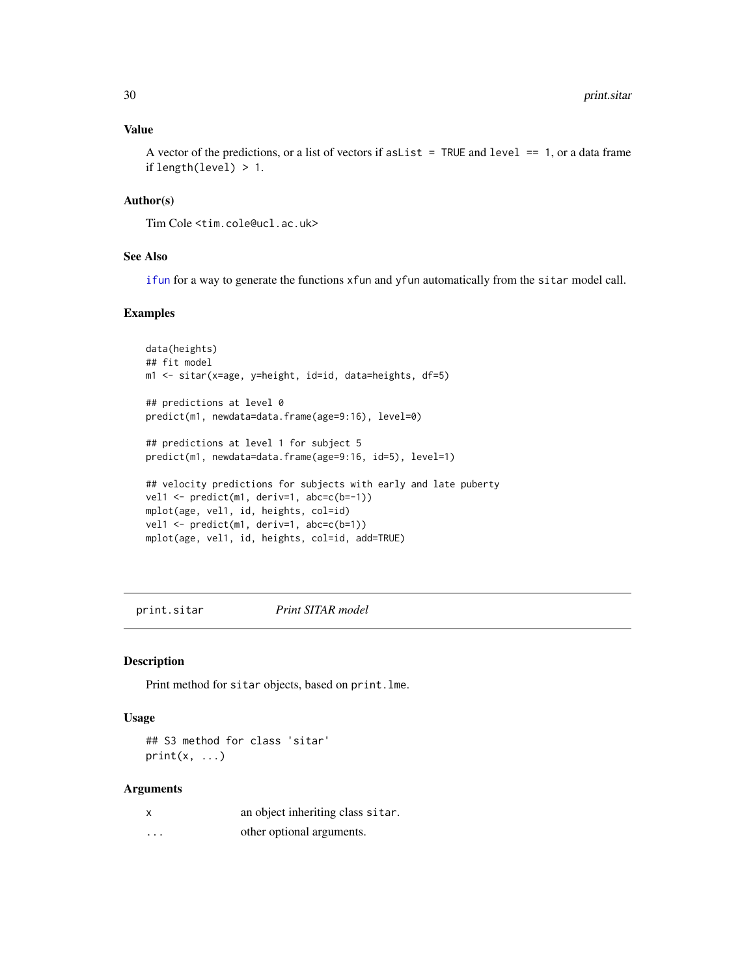# Value

A vector of the predictions, or a list of vectors if as List  $=$  TRUE and level  $=$  1, or a data frame if length(level) > 1.

# Author(s)

Tim Cole <tim.cole@ucl.ac.uk>

# See Also

[ifun](#page-16-1) for a way to generate the functions xfun and yfun automatically from the sitar model call.

# Examples

```
data(heights)
## fit model
m1 <- sitar(x=age, y=height, id=id, data=heights, df=5)
## predictions at level 0
predict(m1, newdata=data.frame(age=9:16), level=0)
## predictions at level 1 for subject 5
predict(m1, newdata=data.frame(age=9:16, id=5), level=1)
## velocity predictions for subjects with early and late puberty
vel1 \leftarrow predict(m1, deriv=1, abc=c(b=-1))
mplot(age, vel1, id, heights, col=id)
vel1 <- predict(m1, deriv=1, abc=c(b=1))
mplot(age, vel1, id, heights, col=id, add=TRUE)
```
print.sitar *Print SITAR model*

#### Description

Print method for sitar objects, based on print.lme.

# Usage

## S3 method for class 'sitar'  $print(x, \ldots)$ 

#### Arguments

|   | an object inheriting class sitar. |
|---|-----------------------------------|
| . | other optional arguments.         |

<span id="page-29-0"></span>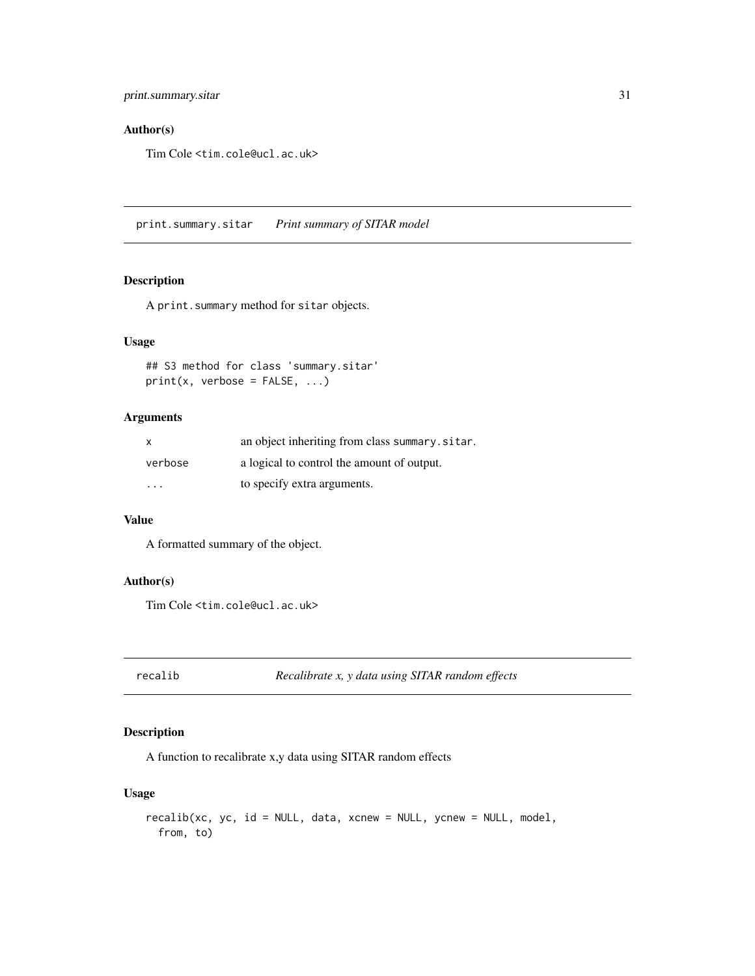# <span id="page-30-0"></span>Author(s)

Tim Cole <tim.cole@ucl.ac.uk>

print.summary.sitar *Print summary of SITAR model*

## Description

A print.summary method for sitar objects.

# Usage

## S3 method for class 'summary.sitar'  $print(x,$  verbose =  $FALSE, ...)$ 

# Arguments

| X       | an object inheriting from class summary.sitar. |
|---------|------------------------------------------------|
| verbose | a logical to control the amount of output.     |
| $\cdot$ | to specify extra arguments.                    |

#### Value

A formatted summary of the object.

# Author(s)

Tim Cole <tim.cole@ucl.ac.uk>

recalib *Recalibrate x, y data using SITAR random effects*

# Description

A function to recalibrate x,y data using SITAR random effects

# Usage

```
recalib(xc, yc, id = NULL, data, xcnew = NULL, ycnew = NULL, model,
 from, to)
```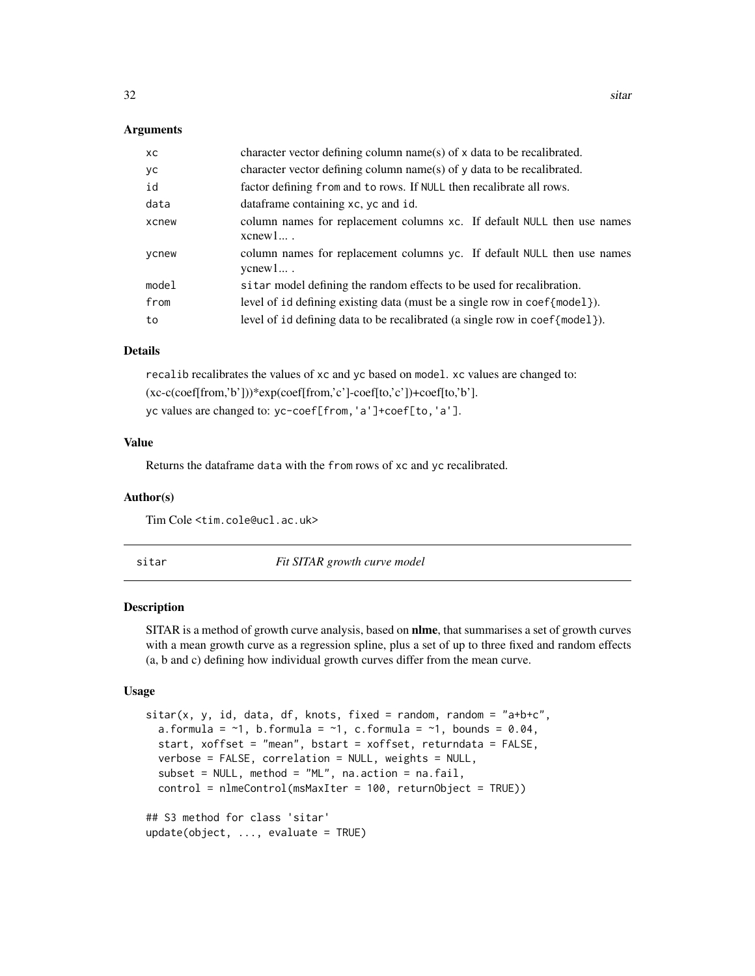#### <span id="page-31-0"></span>**Arguments**

| XC    | character vector defining column name(s) of x data to be recalibrated.                    |
|-------|-------------------------------------------------------------------------------------------|
| уc    | character vector defining column name(s) of y data to be recalibrated.                    |
| id    | factor defining from and to rows. If NULL then recalibrate all rows.                      |
| data  | dataframe containing xc, yc and id.                                                       |
| xcnew | column names for replacement columns xc. If default NULL then use names<br>$x$ cnew $1$ . |
| ycnew | column names for replacement columns yc. If default NULL then use names<br>$y$ cnew $1$ . |
| model | sitar model defining the random effects to be used for recalibration.                     |
| from  | level of id defining existing data (must be a single row in coef {model}).                |
| to    | level of id defining data to be recalibrated (a single row in $\text{coeff}$ model).      |

#### Details

recalib recalibrates the values of xc and yc based on model. xc values are changed to: (xc-c(coef[from,'b']))\*exp(coef[from,'c']-coef[to,'c'])+coef[to,'b']. yc values are changed to: yc-coef[from,'a']+coef[to,'a'].

#### Value

Returns the dataframe data with the from rows of xc and yc recalibrated.

#### Author(s)

Tim Cole <tim.cole@ucl.ac.uk>

<span id="page-31-1"></span>sitar *Fit SITAR growth curve model*

#### Description

SITAR is a method of growth curve analysis, based on **nlme**, that summarises a set of growth curves with a mean growth curve as a regression spline, plus a set of up to three fixed and random effects (a, b and c) defining how individual growth curves differ from the mean curve.

# Usage

```
sitar(x, y, id, data, df, knots, fixed = random, random = "a+bc",a.formula = \sim1, b.formula = \sim1, c.formula = \sim1, bounds = 0.04,
  start, xoffset = "mean", bstart = xoffset, returndata = FALSE,
  verbose = FALSE, correlation = NULL, weights = NULL,
  subset = NULL, method = "ML", na.action = na.fail,
  control = nlmeControl(msMaxIter = 100, returnObject = TRUE))
## S3 method for class 'sitar'
update(object, ..., evaluate = TRUE)
```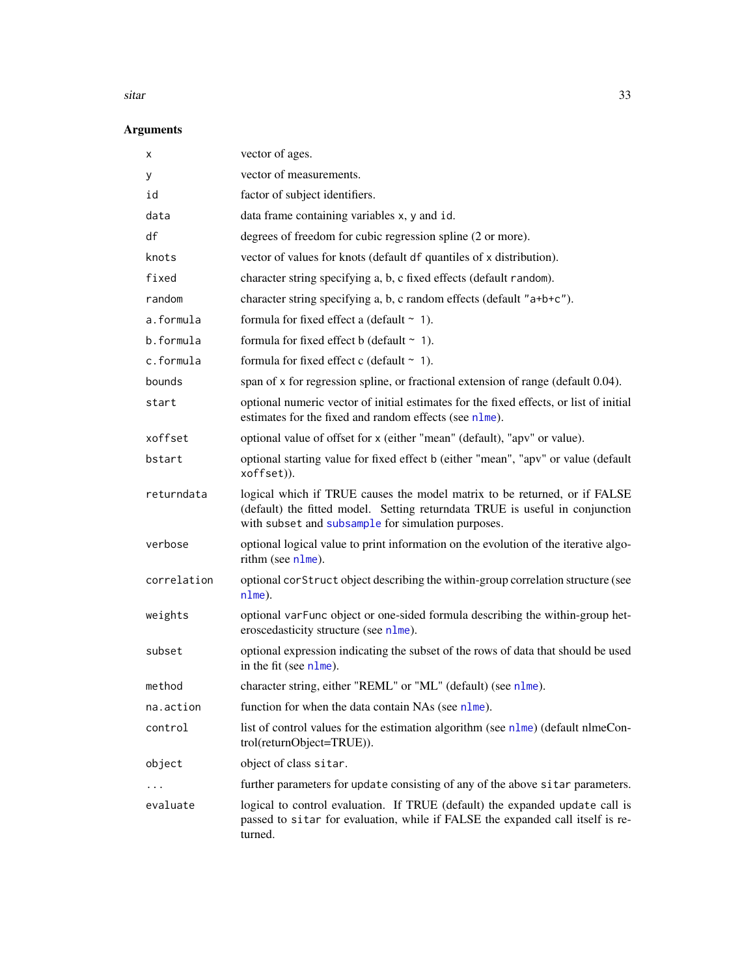#### <span id="page-32-0"></span>sitar 33

# Arguments

| x           | vector of ages.                                                                                                                                                                                                 |
|-------------|-----------------------------------------------------------------------------------------------------------------------------------------------------------------------------------------------------------------|
| у           | vector of measurements.                                                                                                                                                                                         |
| id          | factor of subject identifiers.                                                                                                                                                                                  |
| data        | data frame containing variables x, y and id.                                                                                                                                                                    |
| df          | degrees of freedom for cubic regression spline (2 or more).                                                                                                                                                     |
| knots       | vector of values for knots (default df quantiles of x distribution).                                                                                                                                            |
| fixed       | character string specifying a, b, c fixed effects (default random).                                                                                                                                             |
| random      | character string specifying a, b, c random effects (default "a+b+c").                                                                                                                                           |
| a.formula   | formula for fixed effect a (default $\sim$ 1).                                                                                                                                                                  |
| b.formula   | formula for fixed effect b (default $\sim$ 1).                                                                                                                                                                  |
| c.formula   | formula for fixed effect c (default $\sim$ 1).                                                                                                                                                                  |
| bounds      | span of x for regression spline, or fractional extension of range (default 0.04).                                                                                                                               |
| start       | optional numeric vector of initial estimates for the fixed effects, or list of initial<br>estimates for the fixed and random effects (see nlme).                                                                |
| xoffset     | optional value of offset for x (either "mean" (default), "apv" or value).                                                                                                                                       |
| bstart      | optional starting value for fixed effect b (either "mean", "apv" or value (default<br>xoffset)).                                                                                                                |
| returndata  | logical which if TRUE causes the model matrix to be returned, or if FALSE<br>(default) the fitted model. Setting returndata TRUE is useful in conjunction<br>with subset and subsample for simulation purposes. |
| verbose     | optional logical value to print information on the evolution of the iterative algo-<br>rithm (see nlme).                                                                                                        |
| correlation | optional corstruct object describing the within-group correlation structure (see<br>$nIme$ ).                                                                                                                   |
| weights     | optional varFunc object or one-sided formula describing the within-group het-<br>eroscedasticity structure (see nlme).                                                                                          |
| subset      | optional expression indicating the subset of the rows of data that should be used<br>in the fit (see nlme).                                                                                                     |
| method      | character string, either "REML" or "ML" (default) (see nlme).                                                                                                                                                   |
| na.action   | function for when the data contain NAs (see nlme).                                                                                                                                                              |
| control     | list of control values for the estimation algorithm (see nlme) (default nlmeCon-<br>trol(returnObject=TRUE)).                                                                                                   |
| object      | object of class sitar.                                                                                                                                                                                          |
| $\cdots$    | further parameters for update consisting of any of the above sitar parameters.                                                                                                                                  |
| evaluate    | logical to control evaluation. If TRUE (default) the expanded update call is<br>passed to sitar for evaluation, while if FALSE the expanded call itself is re-<br>turned.                                       |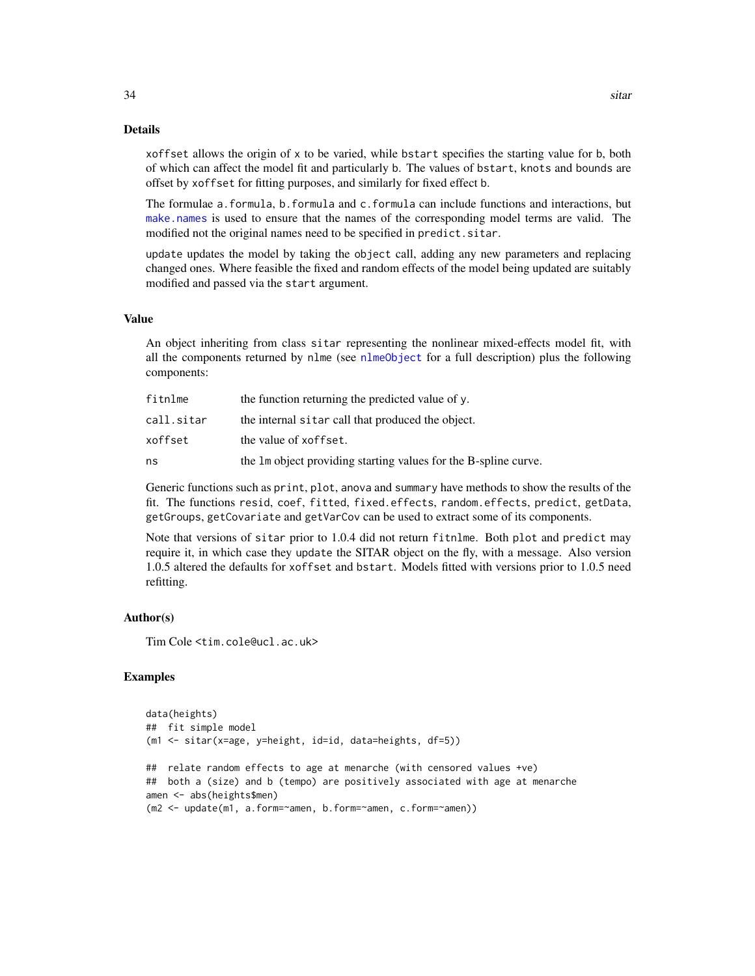#### Details

xoffset allows the origin of x to be varied, while bstart specifies the starting value for b, both of which can affect the model fit and particularly b. The values of bstart, knots and bounds are offset by xoffset for fitting purposes, and similarly for fixed effect b.

The formulae a.formula, b.formula and c.formula can include functions and interactions, but [make.names](#page-0-0) is used to ensure that the names of the corresponding model terms are valid. The modified not the original names need to be specified in predict.sitar.

update updates the model by taking the object call, adding any new parameters and replacing changed ones. Where feasible the fixed and random effects of the model being updated are suitably modified and passed via the start argument.

#### Value

An object inheriting from class sitar representing the nonlinear mixed-effects model fit, with all the components returned by nlme (see [nlmeObject](#page-0-0) for a full description) plus the following components:

| fitnlme    | the function returning the predicted value of y.                |
|------------|-----------------------------------------------------------------|
| call.sitar | the internal sitar call that produced the object.               |
| xoffset    | the value of xoffset.                                           |
| ns         | the 1m object providing starting values for the B-spline curve. |

Generic functions such as print, plot, anova and summary have methods to show the results of the fit. The functions resid, coef, fitted, fixed.effects, random.effects, predict, getData, getGroups, getCovariate and getVarCov can be used to extract some of its components.

Note that versions of sitar prior to 1.0.4 did not return fitnlme. Both plot and predict may require it, in which case they update the SITAR object on the fly, with a message. Also version 1.0.5 altered the defaults for xoffset and bstart. Models fitted with versions prior to 1.0.5 need refitting.

#### Author(s)

Tim Cole <tim.cole@ucl.ac.uk>

### Examples

```
data(heights)
## fit simple model
(m1 <- sitar(x=age, y=height, id=id, data=heights, df=5))
## relate random effects to age at menarche (with censored values +ve)
## both a (size) and b (tempo) are positively associated with age at menarche
amen <- abs(heights$men)
(m2 <- update(m1, a.form=~amen, b.form=~amen, c.form=~amen))
```
<span id="page-33-0"></span>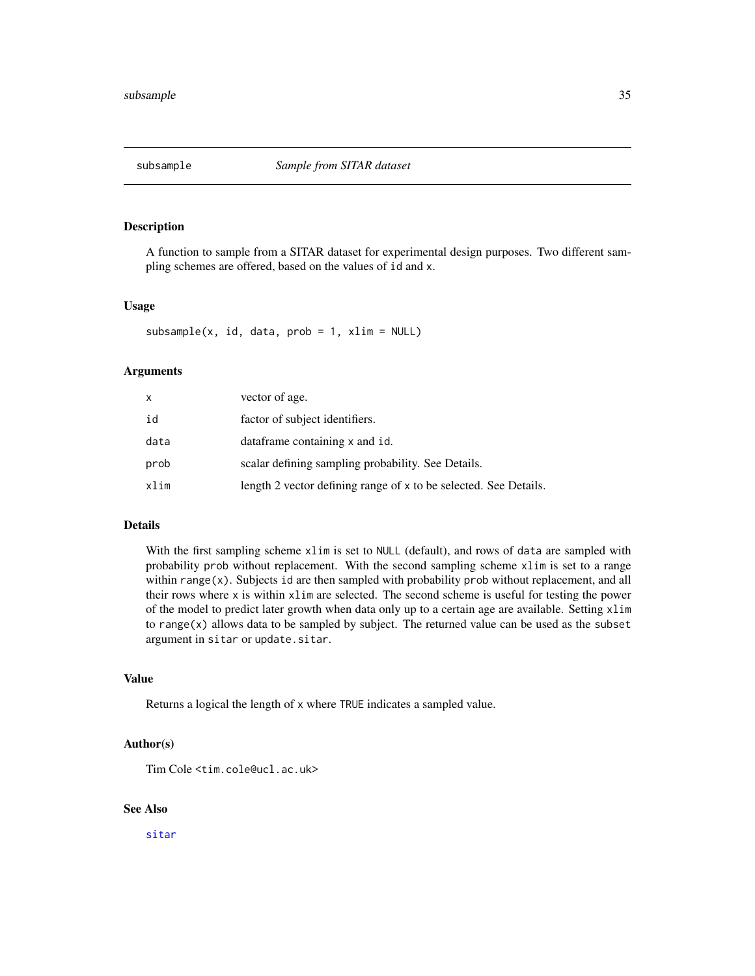<span id="page-34-1"></span><span id="page-34-0"></span>

# Description

A function to sample from a SITAR dataset for experimental design purposes. Two different sampling schemes are offered, based on the values of id and x.

#### Usage

 $subsample(x, id, data, prob = 1, xlim = NULL)$ 

#### Arguments

| x    | vector of age.                                                   |
|------|------------------------------------------------------------------|
| id   | factor of subject identifiers.                                   |
| data | dataframe containing x and id.                                   |
| prob | scalar defining sampling probability. See Details.               |
| xlim | length 2 vector defining range of x to be selected. See Details. |

# Details

With the first sampling scheme xlim is set to NULL (default), and rows of data are sampled with probability prob without replacement. With the second sampling scheme xlim is set to a range within  $range(x)$ . Subjects id are then sampled with probability prob without replacement, and all their rows where x is within xlim are selected. The second scheme is useful for testing the power of the model to predict later growth when data only up to a certain age are available. Setting xlim to range $(x)$  allows data to be sampled by subject. The returned value can be used as the subset argument in sitar or update.sitar.

# Value

Returns a logical the length of x where TRUE indicates a sampled value.

#### Author(s)

Tim Cole <tim.cole@ucl.ac.uk>

# See Also

[sitar](#page-31-1)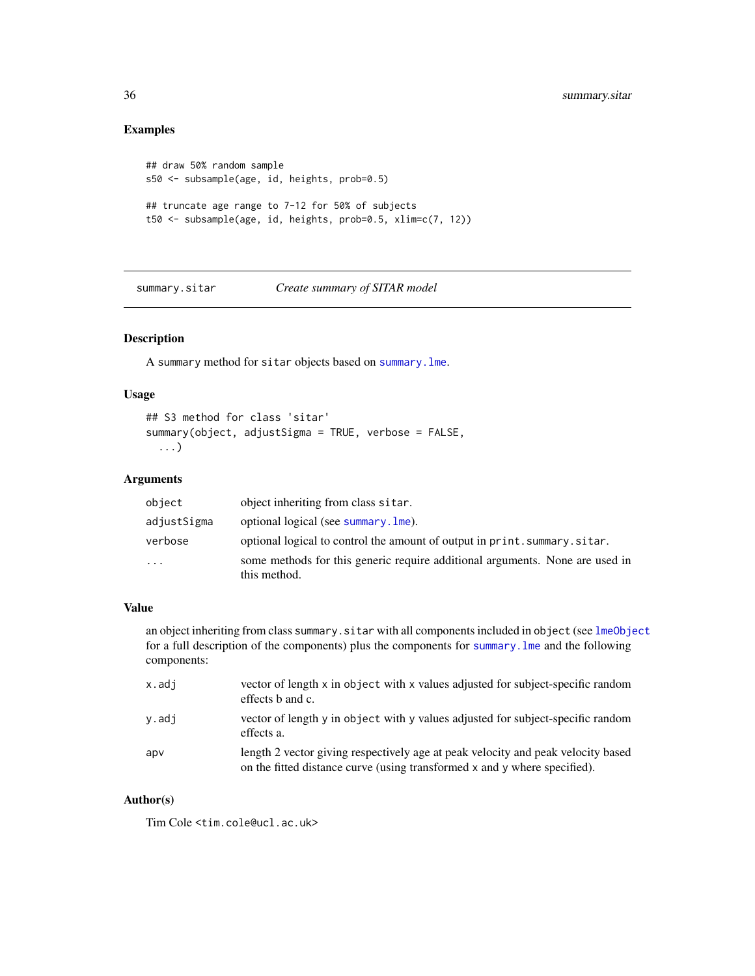# Examples

```
## draw 50% random sample
s50 <- subsample(age, id, heights, prob=0.5)
## truncate age range to 7-12 for 50% of subjects
t50 <- subsample(age, id, heights, prob=0.5, xlim=c(7, 12))
```
summary.sitar *Create summary of SITAR model*

# Description

A summary method for sitar objects based on [summary.lme](#page-0-0).

# Usage

```
## S3 method for class 'sitar'
summary(object, adjustSigma = TRUE, verbose = FALSE,
  ...)
```
# Arguments

| object      | object inheriting from class sitar.                                                          |
|-------------|----------------------------------------------------------------------------------------------|
| adjustSigma | optional logical (see summary. lme).                                                         |
| verbose     | optional logical to control the amount of output in print. summary. sitar.                   |
| $\cdots$    | some methods for this generic require additional arguments. None are used in<br>this method. |

#### Value

an object inheriting from class summary. sitar with all components included in object (see [lmeObject](#page-0-0) for a full description of the components) plus the components for [summary.lme](#page-0-0) and the following components:

| x.adi | vector of length x in object with x values adjusted for subject-specific random<br>effects b and c.                                                           |
|-------|---------------------------------------------------------------------------------------------------------------------------------------------------------------|
| v.adi | vector of length y in object with y values adjusted for subject-specific random<br>effects a.                                                                 |
| apv   | length 2 vector giving respectively age at peak velocity and peak velocity based<br>on the fitted distance curve (using transformed x and y where specified). |

# Author(s)

Tim Cole <tim.cole@ucl.ac.uk>

<span id="page-35-0"></span>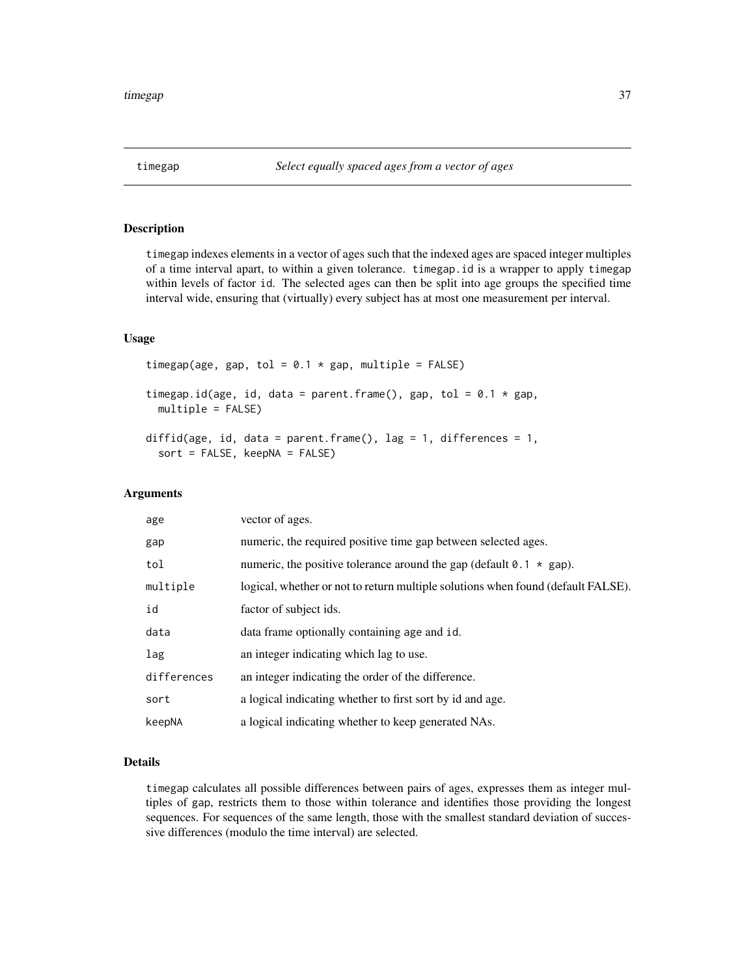# <span id="page-36-0"></span>Description

timegap indexes elements in a vector of ages such that the indexed ages are spaced integer multiples of a time interval apart, to within a given tolerance. timegap.id is a wrapper to apply timegap within levels of factor id. The selected ages can then be split into age groups the specified time interval wide, ensuring that (virtually) every subject has at most one measurement per interval.

# Usage

```
timegap(age, gap, tol = 0.1 \times gap, multiple = FALSE)
timegap.id(age, id, data = parent.frame(), gap, tol = 0.1 \times gap,
 multiple = FALSE)
diffid(age, id, data = parent.frame(), lag = 1, differences = 1,
  sort = FALSE, keepNA = FALSE)
```
#### **Arguments**

| age         | vector of ages.                                                                  |
|-------------|----------------------------------------------------------------------------------|
| gap         | numeric, the required positive time gap between selected ages.                   |
| tol         | numeric, the positive tolerance around the gap (default $0.1 \times$ gap).       |
| multiple    | logical, whether or not to return multiple solutions when found (default FALSE). |
| id          | factor of subject ids.                                                           |
| data        | data frame optionally containing age and id.                                     |
| lag         | an integer indicating which lag to use.                                          |
| differences | an integer indicating the order of the difference.                               |
| sort        | a logical indicating whether to first sort by id and age.                        |
| keepNA      | a logical indicating whether to keep generated NAs.                              |

#### Details

timegap calculates all possible differences between pairs of ages, expresses them as integer multiples of gap, restricts them to those within tolerance and identifies those providing the longest sequences. For sequences of the same length, those with the smallest standard deviation of successive differences (modulo the time interval) are selected.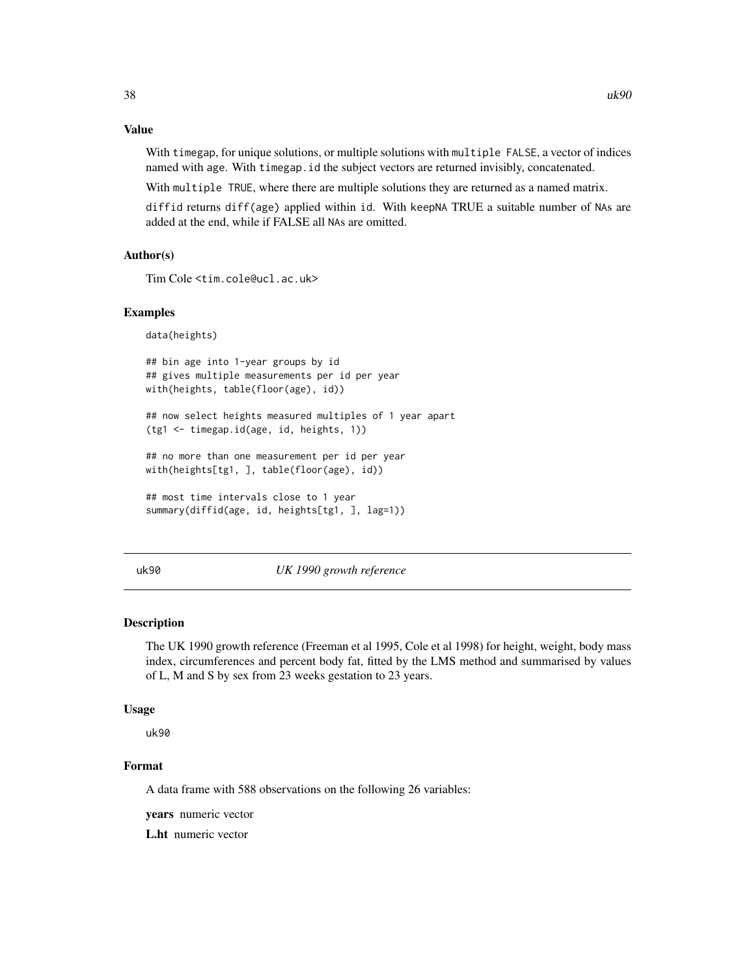# <span id="page-37-0"></span>Value

With timegap, for unique solutions, or multiple solutions with multiple FALSE, a vector of indices named with age. With timegap.id the subject vectors are returned invisibly, concatenated.

With multiple TRUE, where there are multiple solutions they are returned as a named matrix.

diffid returns diff(age) applied within id. With keepNA TRUE a suitable number of NAs are added at the end, while if FALSE all NAs are omitted.

#### Author(s)

Tim Cole <tim.cole@ucl.ac.uk>

## Examples

data(heights)

## bin age into 1-year groups by id ## gives multiple measurements per id per year with(heights, table(floor(age), id))

## now select heights measured multiples of 1 year apart (tg1 <- timegap.id(age, id, heights, 1))

## no more than one measurement per id per year with(heights[tg1, ], table(floor(age), id))

```
## most time intervals close to 1 year
summary(diffid(age, id, heights[tg1, ], lag=1))
```
# uk90 *UK 1990 growth reference*

#### Description

The UK 1990 growth reference (Freeman et al 1995, Cole et al 1998) for height, weight, body mass index, circumferences and percent body fat, fitted by the LMS method and summarised by values of L, M and S by sex from 23 weeks gestation to 23 years.

#### Usage

uk90

# Format

A data frame with 588 observations on the following 26 variables:

years numeric vector

L.ht numeric vector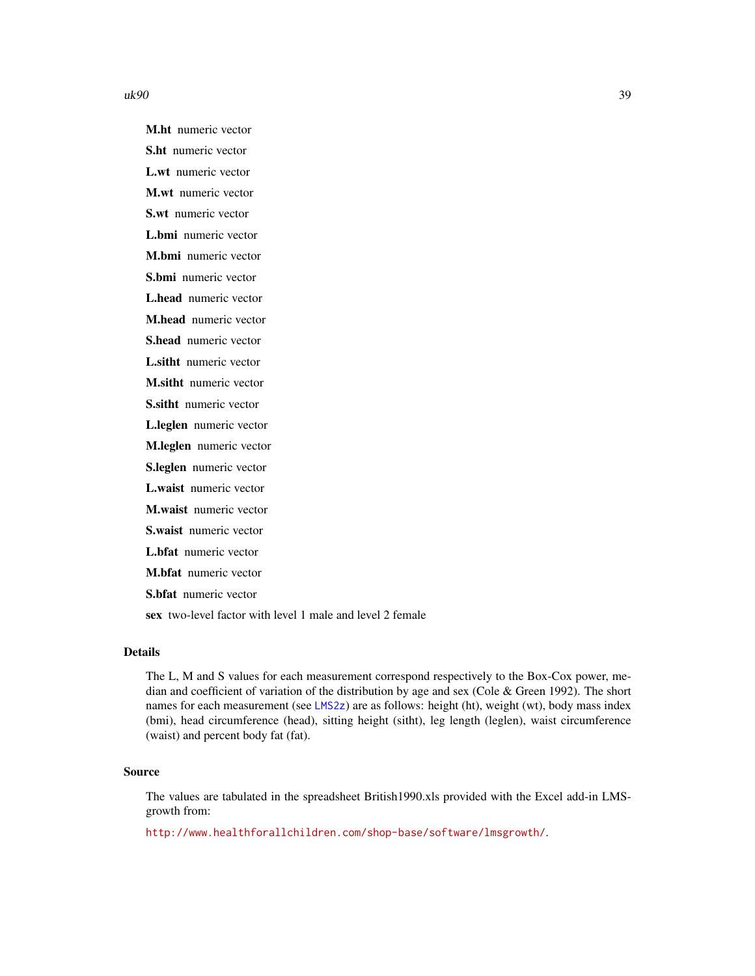<span id="page-38-0"></span> $uk90$  39

M.ht numeric vector S.ht numeric vector L.wt numeric vector M.wt numeric vector S.wt numeric vector L.bmi numeric vector M.bmi numeric vector S.bmi numeric vector L.head numeric vector M.head numeric vector S.head numeric vector L.sitht numeric vector M.sitht numeric vector S.sitht numeric vector L.leglen numeric vector M.leglen numeric vector S.leglen numeric vector L.waist numeric vector M.waist numeric vector S.waist numeric vector L.bfat numeric vector M.bfat numeric vector S.bfat numeric vector sex two-level factor with level 1 male and level 2 female

# Details

The L, M and S values for each measurement correspond respectively to the Box-Cox power, median and coefficient of variation of the distribution by age and sex (Cole & Green 1992). The short names for each measurement (see [LMS2z](#page-18-1)) are as follows: height (ht), weight (wt), body mass index (bmi), head circumference (head), sitting height (sitht), leg length (leglen), waist circumference (waist) and percent body fat (fat).

# Source

The values are tabulated in the spreadsheet British1990.xls provided with the Excel add-in LMSgrowth from:

<http://www.healthforallchildren.com/shop-base/software/lmsgrowth/>.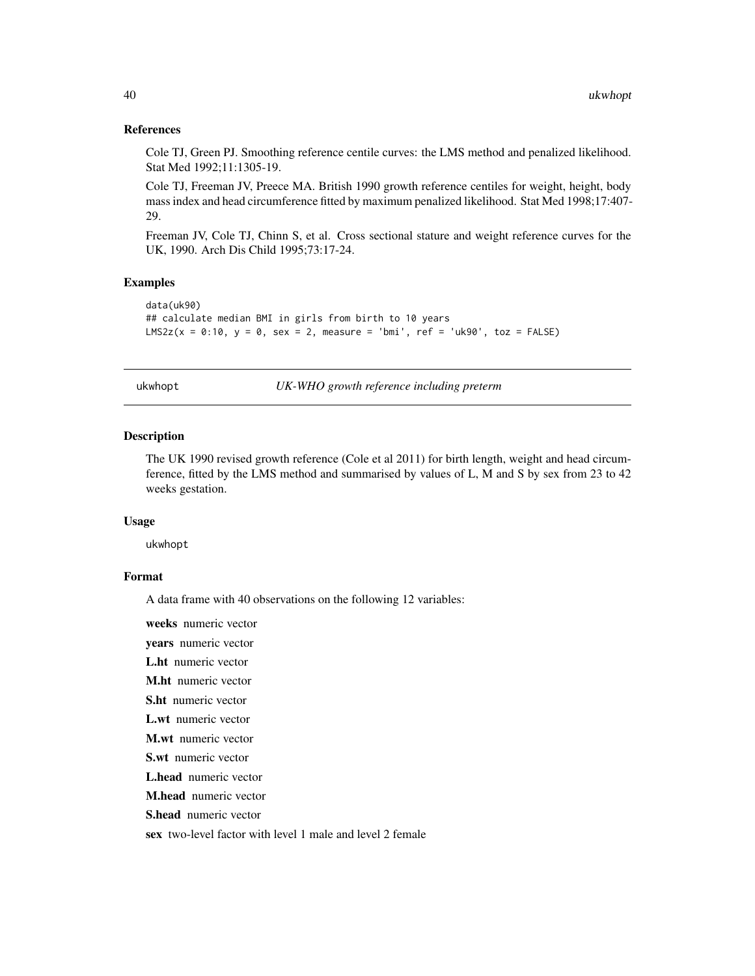#### <span id="page-39-0"></span>References

Cole TJ, Green PJ. Smoothing reference centile curves: the LMS method and penalized likelihood. Stat Med 1992;11:1305-19.

Cole TJ, Freeman JV, Preece MA. British 1990 growth reference centiles for weight, height, body mass index and head circumference fitted by maximum penalized likelihood. Stat Med 1998;17:407- 29.

Freeman JV, Cole TJ, Chinn S, et al. Cross sectional stature and weight reference curves for the UK, 1990. Arch Dis Child 1995;73:17-24.

# Examples

```
data(uk90)
## calculate median BMI in girls from birth to 10 years
LMS2z(x = 0:10, y = 0, sex = 2, measure = 'bmi', ref = 'uk90', toz = FALSE)
```
ukwhopt *UK-WHO growth reference including preterm*

#### **Description**

The UK 1990 revised growth reference (Cole et al 2011) for birth length, weight and head circumference, fitted by the LMS method and summarised by values of L, M and S by sex from 23 to 42 weeks gestation.

#### Usage

ukwhopt

# Format

A data frame with 40 observations on the following 12 variables:

weeks numeric vector

years numeric vector

L.ht numeric vector

M.ht numeric vector

S.ht numeric vector

L.wt numeric vector

M.wt numeric vector

S.wt numeric vector

L.head numeric vector

M.head numeric vector

S.head numeric vector

sex two-level factor with level 1 male and level 2 female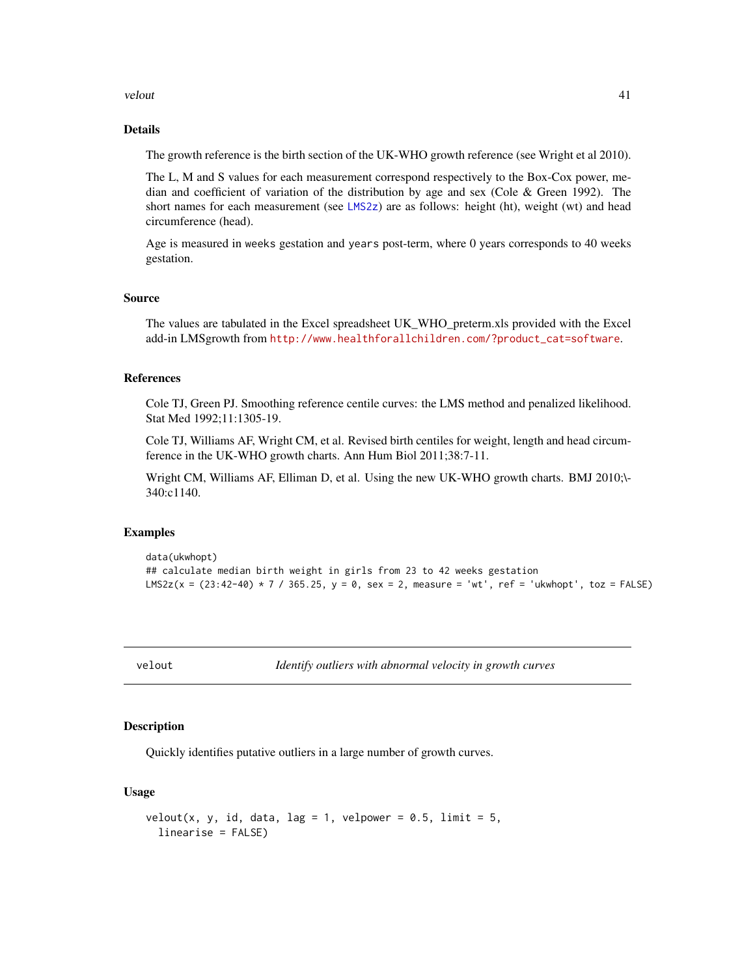#### <span id="page-40-0"></span>velout the set of the set of the set of the set of the set of the set of the set of the set of the set of the set of the set of the set of the set of the set of the set of the set of the set of the set of the set of the se

# Details

The growth reference is the birth section of the UK-WHO growth reference (see Wright et al 2010).

The L, M and S values for each measurement correspond respectively to the Box-Cox power, median and coefficient of variation of the distribution by age and sex (Cole & Green 1992). The short names for each measurement (see [LMS2z](#page-18-1)) are as follows: height (ht), weight (wt) and head circumference (head).

Age is measured in weeks gestation and years post-term, where 0 years corresponds to 40 weeks gestation.

#### Source

The values are tabulated in the Excel spreadsheet UK\_WHO\_preterm.xls provided with the Excel add-in LMSgrowth from [http://www.healthforallchildren.com/?product\\_cat=software](http://www.healthforallchildren.com/?product_cat=software).

# References

Cole TJ, Green PJ. Smoothing reference centile curves: the LMS method and penalized likelihood. Stat Med 1992;11:1305-19.

Cole TJ, Williams AF, Wright CM, et al. Revised birth centiles for weight, length and head circumference in the UK-WHO growth charts. Ann Hum Biol 2011;38:7-11.

Wright CM, Williams AF, Elliman D, et al. Using the new UK-WHO growth charts. BMJ 2010;\- 340:c1140.

#### Examples

```
data(ukwhopt)
## calculate median birth weight in girls from 23 to 42 weeks gestation
LMS2z(x = (23:42-40) * 7 / 365.25, y = 0, sex = 2, measure = 'wt', ref = 'ukwhopt', toz = FALSE)
```
<span id="page-40-1"></span>

velout *Identify outliers with abnormal velocity in growth curves*

#### Description

Quickly identifies putative outliers in a large number of growth curves.

# Usage

```
velout(x, y, id, data, lag = 1, velpower = 0.5, limit = 5,
  linearise = FALSE)
```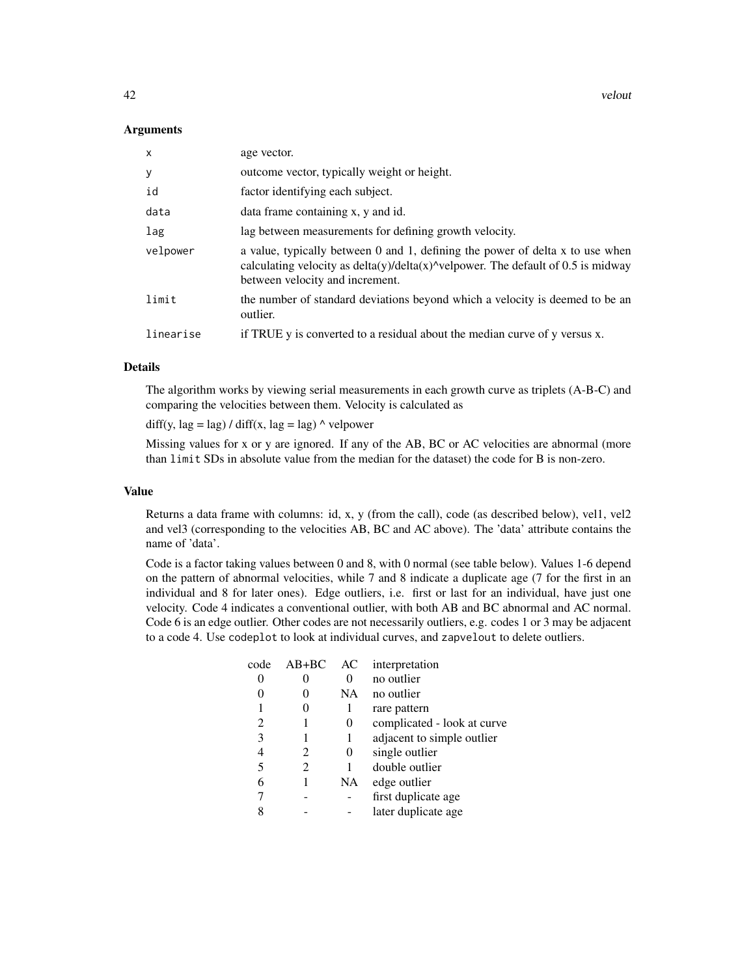#### Arguments

| $\mathsf{x}$ | age vector.                                                                                                                                                                                                         |
|--------------|---------------------------------------------------------------------------------------------------------------------------------------------------------------------------------------------------------------------|
| У            | outcome vector, typically weight or height.                                                                                                                                                                         |
| id           | factor identifying each subject.                                                                                                                                                                                    |
| data         | data frame containing x, y and id.                                                                                                                                                                                  |
| lag          | lag between measurements for defining growth velocity.                                                                                                                                                              |
| velpower     | a value, typically between 0 and 1, defining the power of delta x to use when<br>calculating velocity as $delta(y)/delta(x)$ <sup>^</sup> velpower. The default of 0.5 is midway<br>between velocity and increment. |
| limit        | the number of standard deviations beyond which a velocity is deemed to be an<br>outlier.                                                                                                                            |
| linearise    | if TRUE y is converted to a residual about the median curve of y versus x.                                                                                                                                          |

#### Details

The algorithm works by viewing serial measurements in each growth curve as triplets (A-B-C) and comparing the velocities between them. Velocity is calculated as

 $diff(y, lag = lag) / diff(x, lag = lag)$   $\land$  velpower

Missing values for x or y are ignored. If any of the AB, BC or AC velocities are abnormal (more than limit SDs in absolute value from the median for the dataset) the code for B is non-zero.

#### Value

Returns a data frame with columns: id, x, y (from the call), code (as described below), vel1, vel2 and vel3 (corresponding to the velocities AB, BC and AC above). The 'data' attribute contains the name of 'data'.

Code is a factor taking values between 0 and 8, with 0 normal (see table below). Values 1-6 depend on the pattern of abnormal velocities, while 7 and 8 indicate a duplicate age (7 for the first in an individual and 8 for later ones). Edge outliers, i.e. first or last for an individual, have just one velocity. Code 4 indicates a conventional outlier, with both AB and BC abnormal and AC normal. Code 6 is an edge outlier. Other codes are not necessarily outliers, e.g. codes 1 or 3 may be adjacent to a code 4. Use codeplot to look at individual curves, and zapvelout to delete outliers.

| code | $AB+BC$ | AC        | interpretation              |
|------|---------|-----------|-----------------------------|
|      |         |           | no outlier                  |
|      |         | <b>NA</b> | no outlier                  |
|      | 0       | 1         | rare pattern                |
| 2    |         | 0         | complicated - look at curve |
| 3    |         |           | adjacent to simple outlier  |
| 4    | 2       | $\theta$  | single outlier              |
| 5    | 2       |           | double outlier              |
| 6    | 1       | NA        | edge outlier                |
|      |         |           | first duplicate age         |
|      |         |           | later duplicate age         |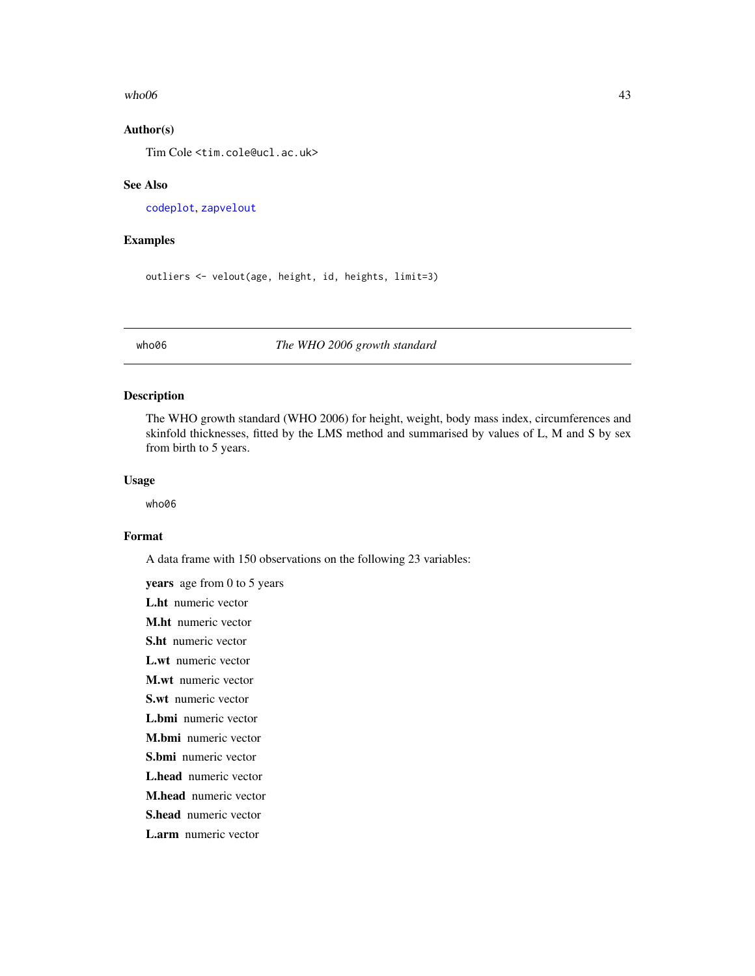#### <span id="page-42-0"></span> $who06$  and  $43$

# Author(s)

Tim Cole <tim.cole@ucl.ac.uk>

#### See Also

[codeplot](#page-10-1), [zapvelout](#page-10-2)

#### Examples

outliers <- velout(age, height, id, heights, limit=3)

who06 *The WHO 2006 growth standard*

# Description

The WHO growth standard (WHO 2006) for height, weight, body mass index, circumferences and skinfold thicknesses, fitted by the LMS method and summarised by values of L, M and S by sex from birth to 5 years.

# Usage

who06

#### Format

A data frame with 150 observations on the following 23 variables:

years age from 0 to 5 years L.ht numeric vector M.ht numeric vector S.ht numeric vector L.wt numeric vector M.wt numeric vector S.wt numeric vector L.bmi numeric vector M.bmi numeric vector S.bmi numeric vector L.head numeric vector M.head numeric vector S.head numeric vector L.arm numeric vector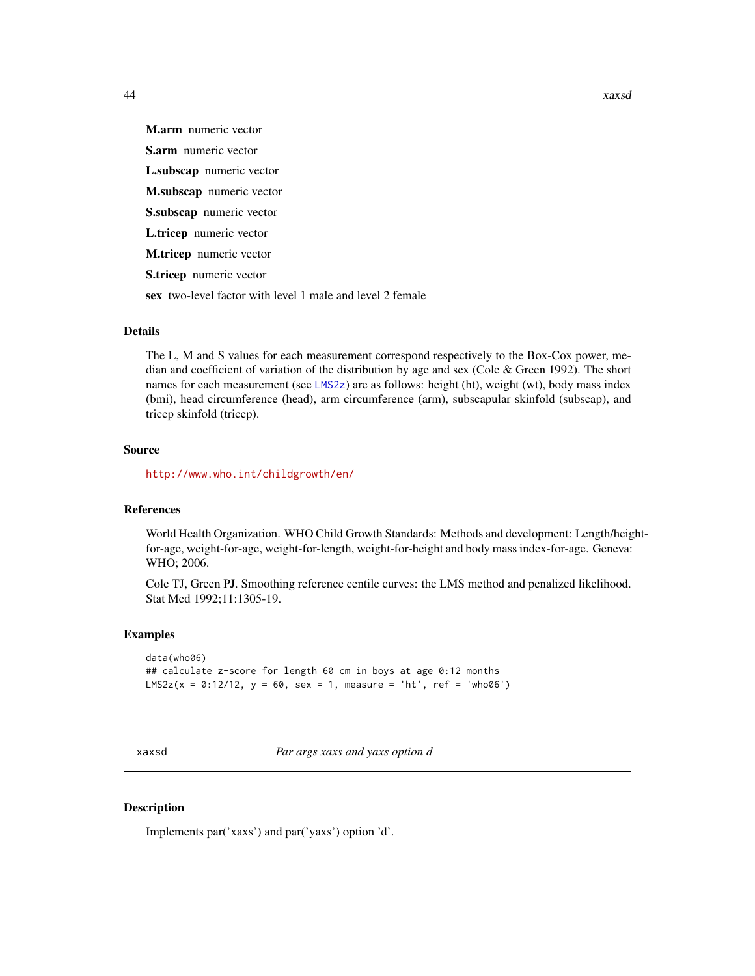<span id="page-43-0"></span>

M.arm numeric vector S.arm numeric vector L.subscap numeric vector M.subscap numeric vector S.subscap numeric vector L.tricep numeric vector M.tricep numeric vector S.tricep numeric vector sex two-level factor with level 1 male and level 2 female

# Details

The L, M and S values for each measurement correspond respectively to the Box-Cox power, median and coefficient of variation of the distribution by age and sex (Cole  $\&$  Green 1992). The short names for each measurement (see [LMS2z](#page-18-1)) are as follows: height (ht), weight (wt), body mass index (bmi), head circumference (head), arm circumference (arm), subscapular skinfold (subscap), and tricep skinfold (tricep).

# Source

<http://www.who.int/childgrowth/en/>

#### References

World Health Organization. WHO Child Growth Standards: Methods and development: Length/heightfor-age, weight-for-age, weight-for-length, weight-for-height and body mass index-for-age. Geneva: WHO; 2006.

Cole TJ, Green PJ. Smoothing reference centile curves: the LMS method and penalized likelihood. Stat Med 1992;11:1305-19.

## Examples

data(who06) ## calculate z-score for length 60 cm in boys at age 0:12 months  $LMS2z(x = 0:12/12, y = 60, sex = 1, measure = 'ht', ref = 'who06')$ 

xaxsd *Par args xaxs and yaxs option d*

# Description

Implements par('xaxs') and par('yaxs') option 'd'.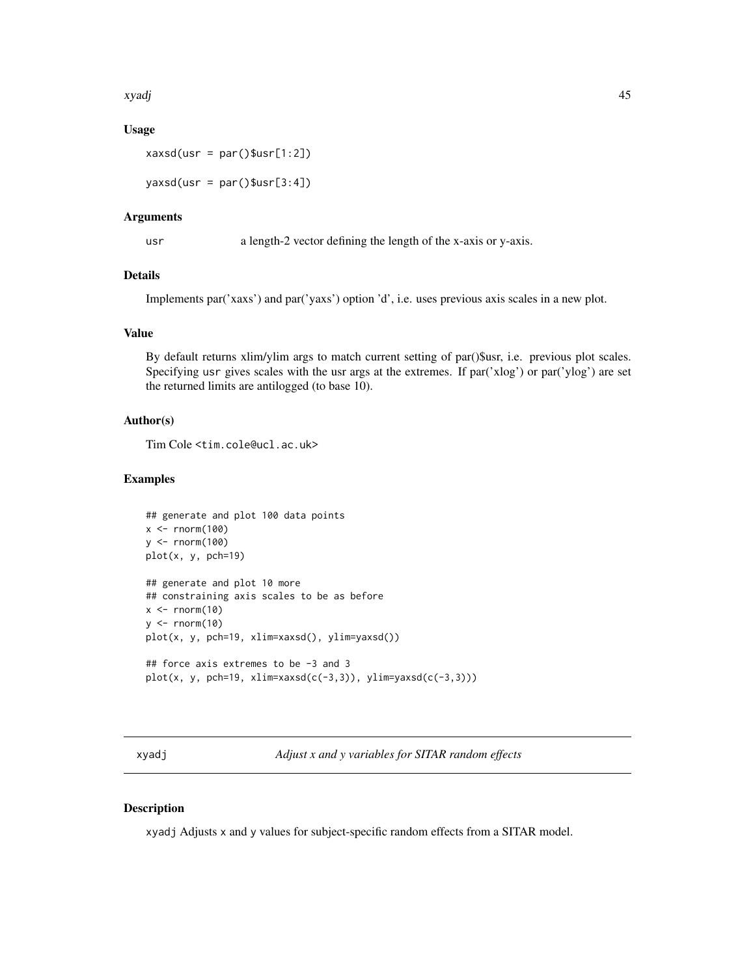<span id="page-44-0"></span>xyadj 45

# Usage

```
xaxsd(usr = par()$usr[1:2])
```
 $yaxsd(usr = par()$usr[3:4])$ 

#### Arguments

usr a length-2 vector defining the length of the x-axis or y-axis.

# Details

Implements par('xaxs') and par('yaxs') option 'd', i.e. uses previous axis scales in a new plot.

# Value

By default returns xlim/ylim args to match current setting of par()\$usr, i.e. previous plot scales. Specifying usr gives scales with the usr args at the extremes. If par('xlog') or par('ylog') are set the returned limits are antilogged (to base 10).

# Author(s)

Tim Cole <tim.cole@ucl.ac.uk>

#### Examples

```
## generate and plot 100 data points
x \le rnorm(100)
y <- rnorm(100)
plot(x, y, pch=19)
## generate and plot 10 more
## constraining axis scales to be as before
x \leftarrow \text{norm}(10)y \le - rnorm(10)
plot(x, y, pch=19, xlim=xaxsd(), ylim=yaxsd())
## force axis extremes to be -3 and 3
plot(x, y, pch=19, xlim=xaxsd(c(-3,3)), ylim=yaxsd(c(-3,3)))
```
xyadj *Adjust x and y variables for SITAR random effects*

# Description

xyadj Adjusts x and y values for subject-specific random effects from a SITAR model.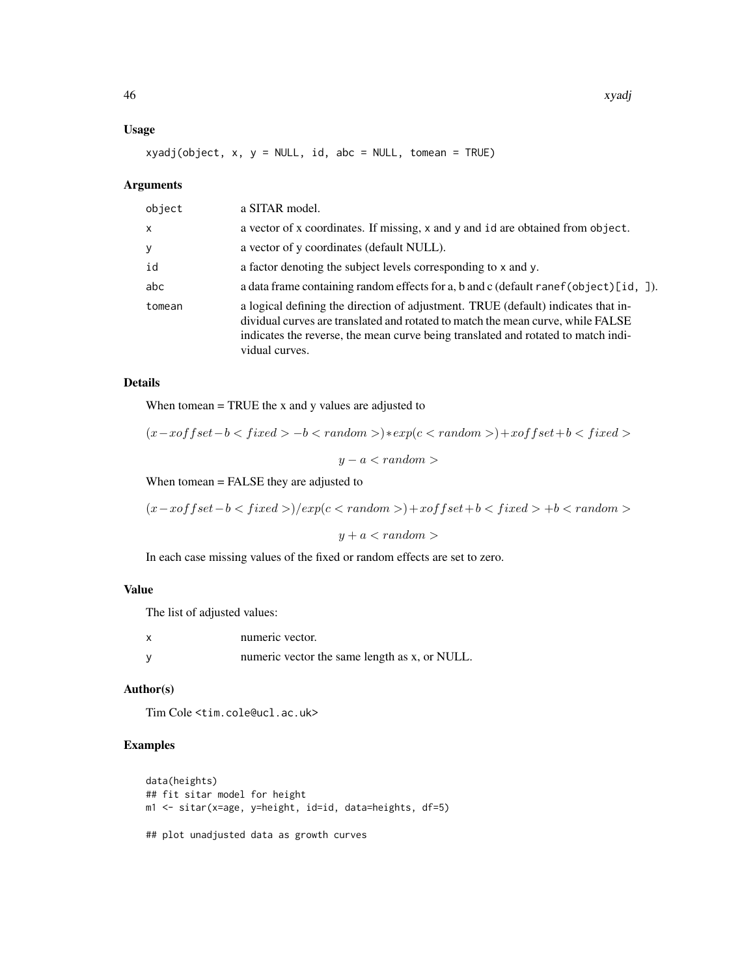# Usage

xyadj(object, x, y = NULL, id, abc = NULL, tomean = TRUE)

# Arguments

| object | a SITAR model.                                                                                                                                                                                                                                                              |
|--------|-----------------------------------------------------------------------------------------------------------------------------------------------------------------------------------------------------------------------------------------------------------------------------|
| x      | a vector of x coordinates. If missing, x and y and id are obtained from object.                                                                                                                                                                                             |
| у      | a vector of y coordinates (default NULL).                                                                                                                                                                                                                                   |
| id     | a factor denoting the subject levels corresponding to x and y.                                                                                                                                                                                                              |
| abc    | a data frame containing random effects for a, b and c (default ranef (object) [id, ]).                                                                                                                                                                                      |
| tomean | a logical defining the direction of adjustment. TRUE (default) indicates that in-<br>dividual curves are translated and rotated to match the mean curve, while FALSE<br>indicates the reverse, the mean curve being translated and rotated to match indi-<br>vidual curves. |

#### Details

When tomean = TRUE the x and y values are adjusted to

$$
(x-x offset-b-b)*exp(c)+x offset+b
$$

When tomean = FALSE they are adjusted to

 $(x-xoffset-b < fixed>)/exp(c < random >)+xoffset+b < fixed > +b < random >$ 

 $y + a < random$ 

In each case missing values of the fixed or random effects are set to zero.

# Value

The list of adjusted values:

| numeric vector.                               |
|-----------------------------------------------|
| numeric vector the same length as x, or NULL. |

#### Author(s)

Tim Cole <tim.cole@ucl.ac.uk>

# Examples

```
data(heights)
## fit sitar model for height
m1 <- sitar(x=age, y=height, id=id, data=heights, df=5)
## plot unadjusted data as growth curves
```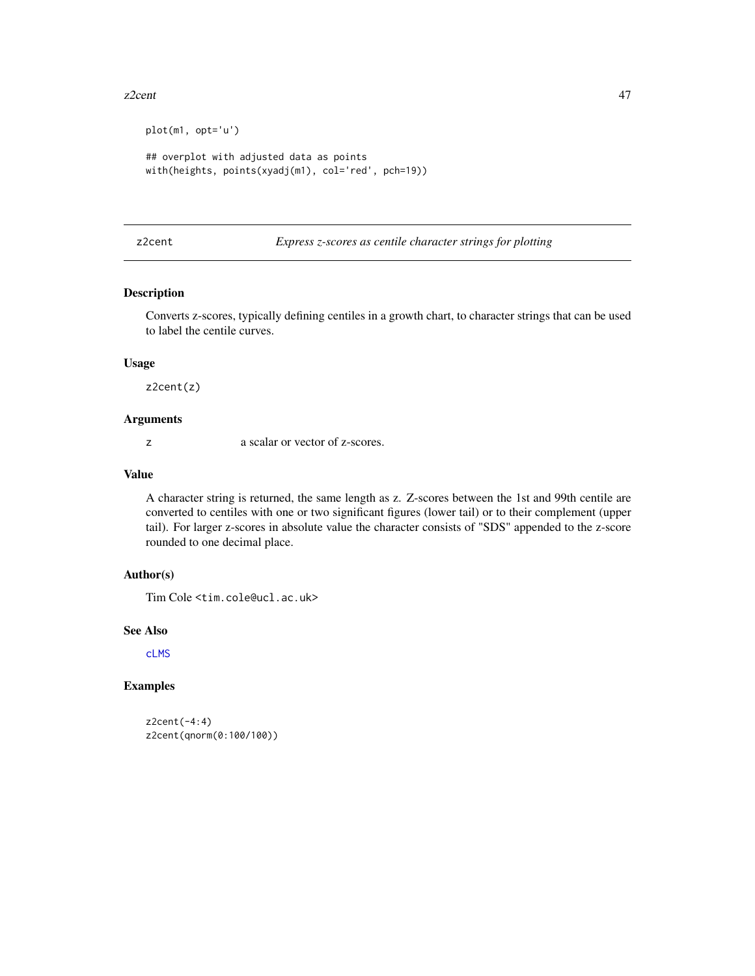#### <span id="page-46-0"></span>z2cent 47

```
plot(m1, opt='u')
## overplot with adjusted data as points
with(heights, points(xyadj(m1), col='red', pch=19))
```
<span id="page-46-1"></span>z2cent *Express z-scores as centile character strings for plotting*

# Description

Converts z-scores, typically defining centiles in a growth chart, to character strings that can be used to label the centile curves.

#### Usage

z2cent(z)

# Arguments

z a scalar or vector of z-scores.

# Value

A character string is returned, the same length as z. Z-scores between the 1st and 99th centile are converted to centiles with one or two significant figures (lower tail) or to their complement (upper tail). For larger z-scores in absolute value the character consists of "SDS" appended to the z-score rounded to one decimal place.

# Author(s)

Tim Cole <tim.cole@ucl.ac.uk>

# See Also

[cLMS](#page-9-1)

# Examples

```
z2cent(-4:4)
z2cent(qnorm(0:100/100))
```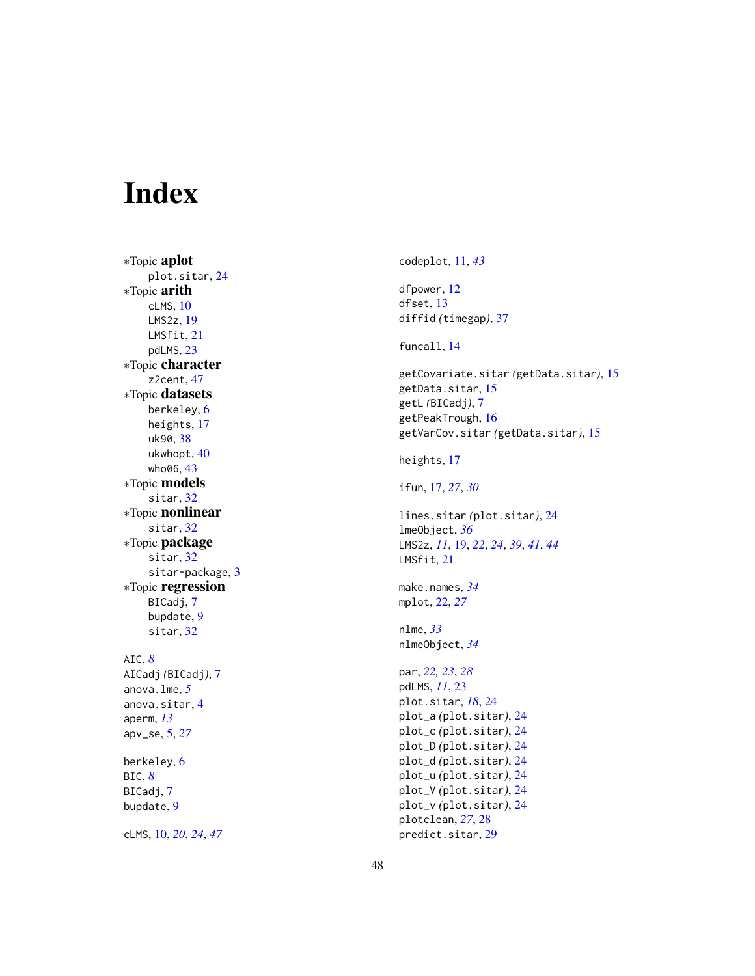# <span id="page-47-0"></span>Index

∗Topic aplot plot.sitar , [24](#page-23-0) ∗Topic arith cLMS , [10](#page-9-0) LMS2z , [19](#page-18-0) LMSfit , [21](#page-20-0) pdLMS , [23](#page-22-0) ∗Topic character z2cent, [47](#page-46-0) ∗Topic datasets berkeley , [6](#page-5-0) heights , [17](#page-16-0) uk90 , [38](#page-37-0) ukwhopt , [40](#page-39-0) who06, [43](#page-42-0) ∗Topic models sitar, [32](#page-31-0) ∗Topic nonlinear sitar, [32](#page-31-0) ∗Topic package sitar, [32](#page-31-0) sitar-package, [3](#page-2-0) ∗Topic regression BICadj, [7](#page-6-0) bupdate , [9](#page-8-0) sitar , [32](#page-31-0) AIC , *[8](#page-7-0)* AICadj *(*BICadj *)* , [7](#page-6-0) anova.lme , *[5](#page-4-0)* anova.sitar , [4](#page-3-0) aperm , *[13](#page-12-0)* apv\_se , [5](#page-4-0) , *[27](#page-26-0)* berkeley , [6](#page-5-0) BIC , *[8](#page-7-0)* BICadj , [7](#page-6-0) bupdate , [9](#page-8-0)

cLMS , [10](#page-9-0) , *[20](#page-19-0)* , *[24](#page-23-0)* , *[47](#page-46-0)*

codeplot , [11](#page-10-0) , *[43](#page-42-0)* dfpower , [12](#page-11-0) dfset, [13](#page-12-0) diffid *(*timegap *)* , [37](#page-36-0) funcall , [14](#page-13-0) getCovariate.sitar *(*getData.sitar *)* , [15](#page-14-0) getData.sitar , [15](#page-14-0) getL *(*BICadj *)* , [7](#page-6-0) getPeakTrough , [16](#page-15-0) getVarCov.sitar *(*getData.sitar *)* , [15](#page-14-0) heights, [17](#page-16-0) ifun , [17](#page-16-0) , *[27](#page-26-0)* , *[30](#page-29-0)* lines.sitar *(*plot.sitar *)* , [24](#page-23-0) lmeObject , *[36](#page-35-0)* LMS2z , *[11](#page-10-0)* , [19](#page-18-0) , *[22](#page-21-0)* , *[24](#page-23-0)* , *[39](#page-38-0)* , *[41](#page-40-0)* , *[44](#page-43-0)* LMSfit, [21](#page-20-0) make.names , *[34](#page-33-0)* mplot , [22](#page-21-0) , *[27](#page-26-0)* nlme , *[33](#page-32-0)* nlmeObject , *[34](#page-33-0)* par , *[22](#page-21-0) , [23](#page-22-0)* , *[28](#page-27-0)* pdLMS , *[11](#page-10-0)* , [23](#page-22-0) plot.sitar , *[18](#page-17-0)* , [24](#page-23-0) plot\_a *(*plot.sitar *)* , [24](#page-23-0) plot\_c *(*plot.sitar *)* , [24](#page-23-0) plot\_D *(*plot.sitar *)* , [24](#page-23-0) plot\_d *(*plot.sitar *)* , [24](#page-23-0) plot\_u *(*plot.sitar *)* , [24](#page-23-0) plot\_V *(*plot.sitar *)* , [24](#page-23-0) plot\_v *(*plot.sitar *)* , [24](#page-23-0) plotclean , *[27](#page-26-0)* , [28](#page-27-0)

predict.sitar , [29](#page-28-0)